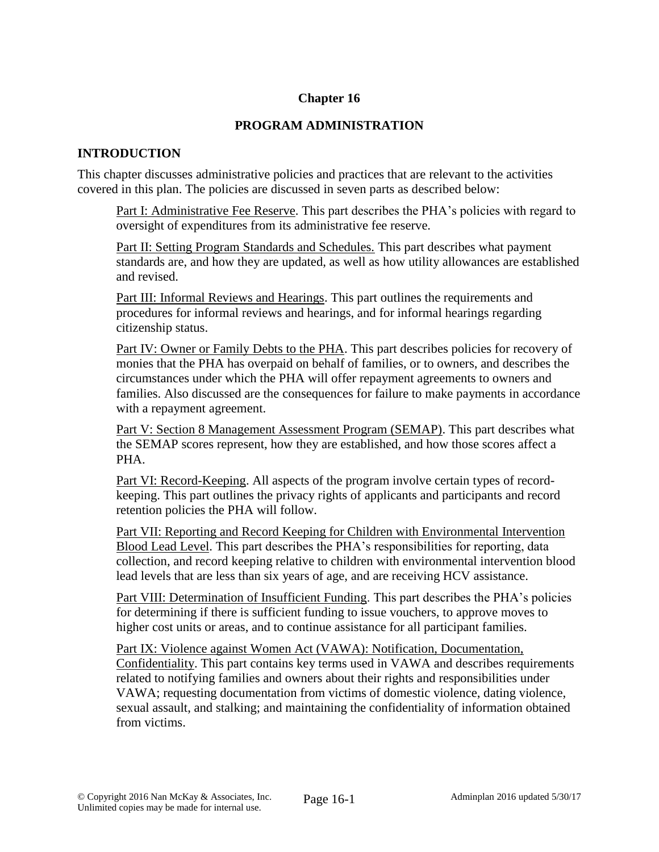## **Chapter 16**

## **PROGRAM ADMINISTRATION**

## **INTRODUCTION**

This chapter discusses administrative policies and practices that are relevant to the activities covered in this plan. The policies are discussed in seven parts as described below:

Part I: Administrative Fee Reserve. This part describes the PHA's policies with regard to oversight of expenditures from its administrative fee reserve.

Part II: Setting Program Standards and Schedules. This part describes what payment standards are, and how they are updated, as well as how utility allowances are established and revised.

Part III: Informal Reviews and Hearings. This part outlines the requirements and procedures for informal reviews and hearings, and for informal hearings regarding citizenship status.

Part IV: Owner or Family Debts to the PHA. This part describes policies for recovery of monies that the PHA has overpaid on behalf of families, or to owners, and describes the circumstances under which the PHA will offer repayment agreements to owners and families. Also discussed are the consequences for failure to make payments in accordance with a repayment agreement.

Part V: Section 8 Management Assessment Program (SEMAP). This part describes what the SEMAP scores represent, how they are established, and how those scores affect a PHA.

Part VI: Record-Keeping. All aspects of the program involve certain types of recordkeeping. This part outlines the privacy rights of applicants and participants and record retention policies the PHA will follow.

Part VII: Reporting and Record Keeping for Children with Environmental Intervention Blood Lead Level. This part describes the PHA's responsibilities for reporting, data collection, and record keeping relative to children with environmental intervention blood lead levels that are less than six years of age, and are receiving HCV assistance.

Part VIII: Determination of Insufficient Funding. This part describes the PHA's policies for determining if there is sufficient funding to issue vouchers, to approve moves to higher cost units or areas, and to continue assistance for all participant families.

Part IX: Violence against Women Act (VAWA): Notification, Documentation, Confidentiality. This part contains key terms used in VAWA and describes requirements related to notifying families and owners about their rights and responsibilities under VAWA; requesting documentation from victims of domestic violence, dating violence, sexual assault, and stalking; and maintaining the confidentiality of information obtained from victims.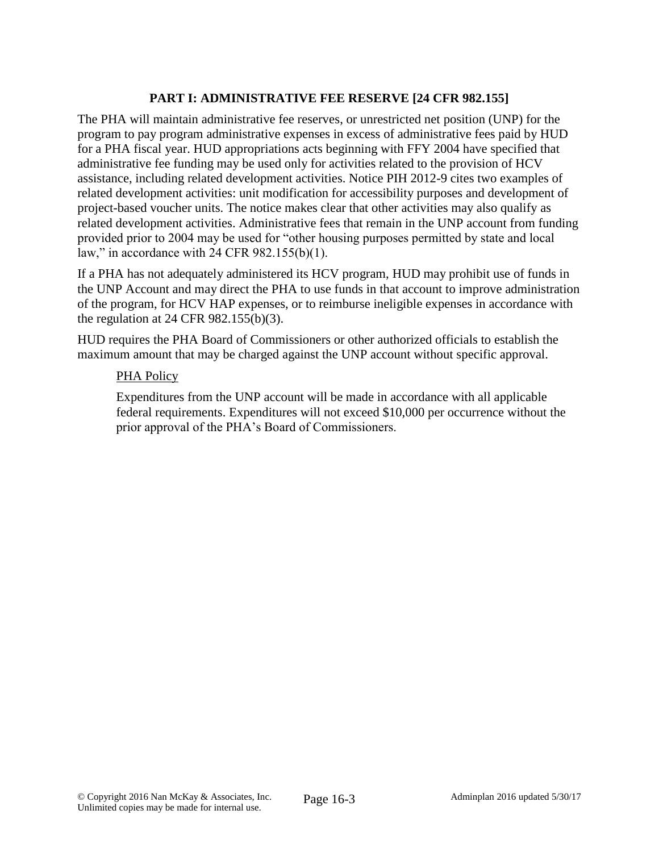## **PART I: ADMINISTRATIVE FEE RESERVE [24 CFR 982.155]**

The PHA will maintain administrative fee reserves, or unrestricted net position (UNP) for the program to pay program administrative expenses in excess of administrative fees paid by HUD for a PHA fiscal year. HUD appropriations acts beginning with FFY 2004 have specified that administrative fee funding may be used only for activities related to the provision of HCV assistance, including related development activities. Notice PIH 2012-9 cites two examples of related development activities: unit modification for accessibility purposes and development of project-based voucher units. The notice makes clear that other activities may also qualify as related development activities. Administrative fees that remain in the UNP account from funding provided prior to 2004 may be used for "other housing purposes permitted by state and local law," in accordance with 24 CFR 982.155(b)(1).

If a PHA has not adequately administered its HCV program, HUD may prohibit use of funds in the UNP Account and may direct the PHA to use funds in that account to improve administration of the program, for HCV HAP expenses, or to reimburse ineligible expenses in accordance with the regulation at 24 CFR 982.155(b)(3).

HUD requires the PHA Board of Commissioners or other authorized officials to establish the maximum amount that may be charged against the UNP account without specific approval.

### PHA Policy

Expenditures from the UNP account will be made in accordance with all applicable federal requirements. Expenditures will not exceed \$10,000 per occurrence without the prior approval of the PHA's Board of Commissioners.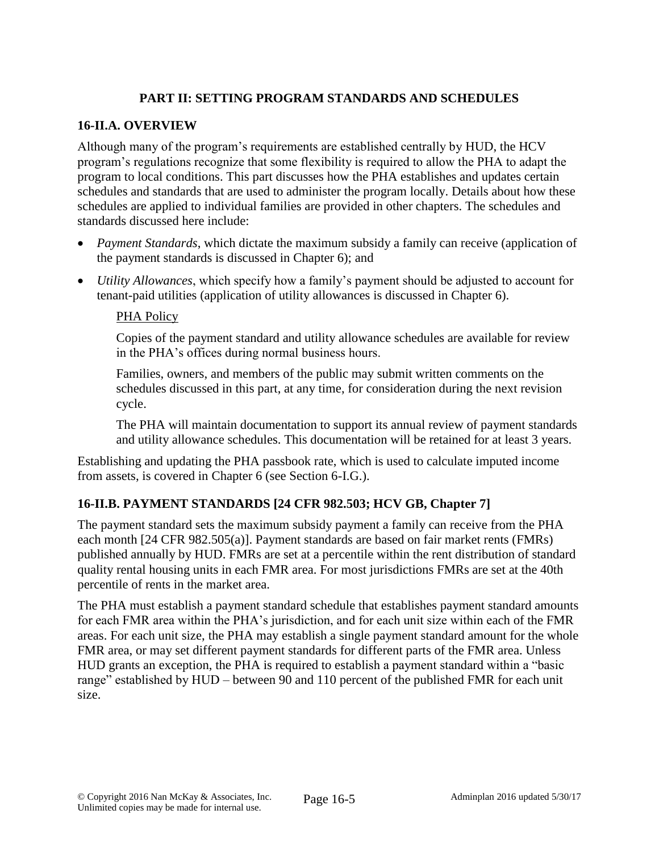## **PART II: SETTING PROGRAM STANDARDS AND SCHEDULES**

## **16-II.A. OVERVIEW**

Although many of the program's requirements are established centrally by HUD, the HCV program's regulations recognize that some flexibility is required to allow the PHA to adapt the program to local conditions. This part discusses how the PHA establishes and updates certain schedules and standards that are used to administer the program locally. Details about how these schedules are applied to individual families are provided in other chapters. The schedules and standards discussed here include:

- *Payment Standards*, which dictate the maximum subsidy a family can receive (application of the payment standards is discussed in Chapter 6); and
- *Utility Allowances*, which specify how a family's payment should be adjusted to account for tenant-paid utilities (application of utility allowances is discussed in Chapter 6).

### PHA Policy

Copies of the payment standard and utility allowance schedules are available for review in the PHA's offices during normal business hours.

Families, owners, and members of the public may submit written comments on the schedules discussed in this part, at any time, for consideration during the next revision cycle.

The PHA will maintain documentation to support its annual review of payment standards and utility allowance schedules. This documentation will be retained for at least 3 years.

Establishing and updating the PHA passbook rate, which is used to calculate imputed income from assets, is covered in Chapter 6 (see Section 6-I.G.).

## **16-II.B. PAYMENT STANDARDS [24 CFR 982.503; HCV GB, Chapter 7]**

The payment standard sets the maximum subsidy payment a family can receive from the PHA each month [24 CFR 982.505(a)]. Payment standards are based on fair market rents (FMRs) published annually by HUD. FMRs are set at a percentile within the rent distribution of standard quality rental housing units in each FMR area. For most jurisdictions FMRs are set at the 40th percentile of rents in the market area.

The PHA must establish a payment standard schedule that establishes payment standard amounts for each FMR area within the PHA's jurisdiction, and for each unit size within each of the FMR areas. For each unit size, the PHA may establish a single payment standard amount for the whole FMR area, or may set different payment standards for different parts of the FMR area. Unless HUD grants an exception, the PHA is required to establish a payment standard within a "basic range" established by HUD – between 90 and 110 percent of the published FMR for each unit size.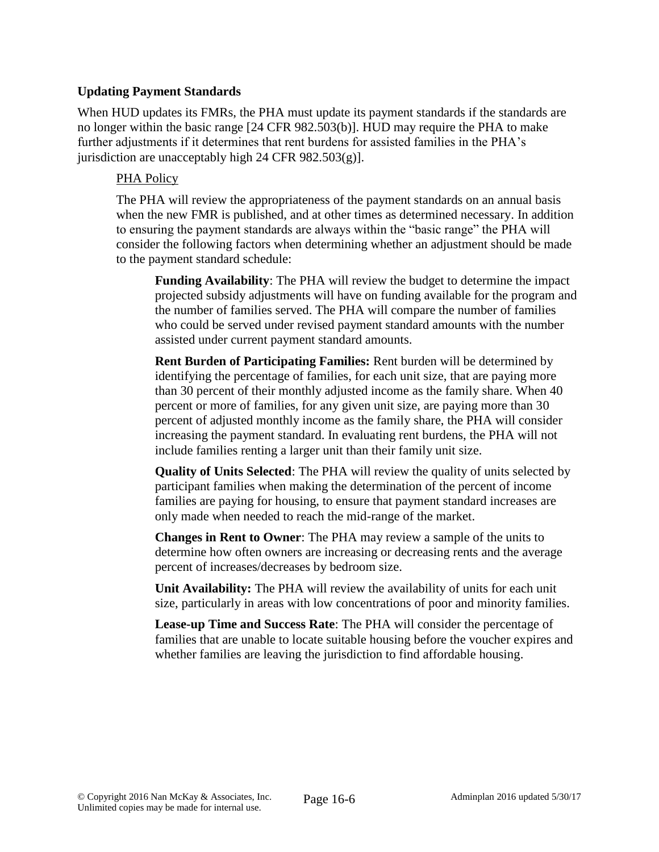### **Updating Payment Standards**

When HUD updates its FMRs, the PHA must update its payment standards if the standards are no longer within the basic range [24 CFR 982.503(b)]. HUD may require the PHA to make further adjustments if it determines that rent burdens for assisted families in the PHA's jurisdiction are unacceptably high 24 CFR  $982.503(g)$ ].

### PHA Policy

The PHA will review the appropriateness of the payment standards on an annual basis when the new FMR is published, and at other times as determined necessary. In addition to ensuring the payment standards are always within the "basic range" the PHA will consider the following factors when determining whether an adjustment should be made to the payment standard schedule:

**Funding Availability**: The PHA will review the budget to determine the impact projected subsidy adjustments will have on funding available for the program and the number of families served. The PHA will compare the number of families who could be served under revised payment standard amounts with the number assisted under current payment standard amounts.

**Rent Burden of Participating Families:** Rent burden will be determined by identifying the percentage of families, for each unit size, that are paying more than 30 percent of their monthly adjusted income as the family share. When 40 percent or more of families, for any given unit size, are paying more than 30 percent of adjusted monthly income as the family share, the PHA will consider increasing the payment standard. In evaluating rent burdens, the PHA will not include families renting a larger unit than their family unit size.

**Quality of Units Selected**: The PHA will review the quality of units selected by participant families when making the determination of the percent of income families are paying for housing, to ensure that payment standard increases are only made when needed to reach the mid-range of the market.

**Changes in Rent to Owner**: The PHA may review a sample of the units to determine how often owners are increasing or decreasing rents and the average percent of increases/decreases by bedroom size.

**Unit Availability:** The PHA will review the availability of units for each unit size, particularly in areas with low concentrations of poor and minority families.

**Lease-up Time and Success Rate**: The PHA will consider the percentage of families that are unable to locate suitable housing before the voucher expires and whether families are leaving the jurisdiction to find affordable housing.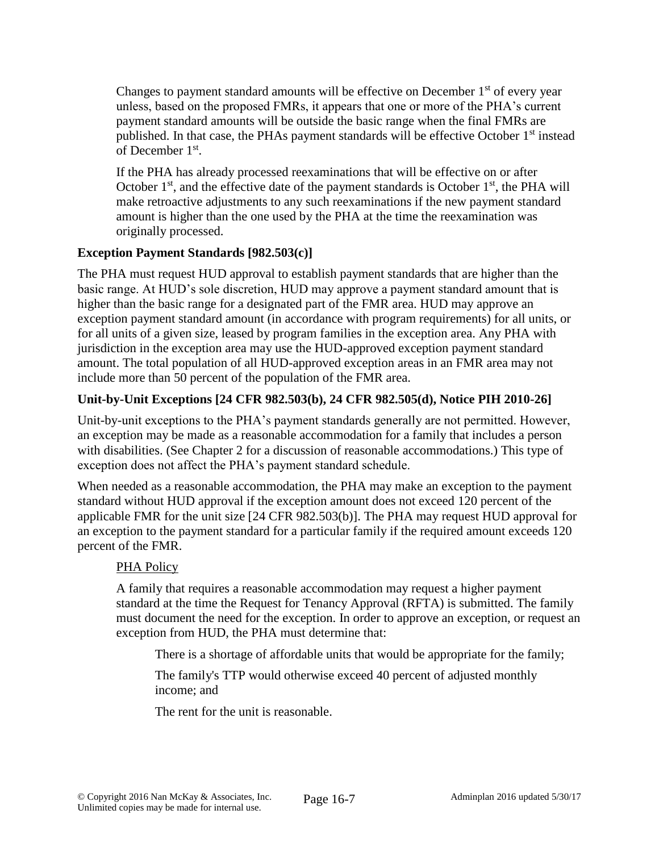Changes to payment standard amounts will be effective on December  $1<sup>st</sup>$  of every year unless, based on the proposed FMRs, it appears that one or more of the PHA's current payment standard amounts will be outside the basic range when the final FMRs are published. In that case, the PHAs payment standards will be effective October 1<sup>st</sup> instead of December 1<sup>st</sup>.

If the PHA has already processed reexaminations that will be effective on or after October  $1<sup>st</sup>$ , and the effective date of the payment standards is October  $1<sup>st</sup>$ , the PHA will make retroactive adjustments to any such reexaminations if the new payment standard amount is higher than the one used by the PHA at the time the reexamination was originally processed.

## **Exception Payment Standards [982.503(c)]**

The PHA must request HUD approval to establish payment standards that are higher than the basic range. At HUD's sole discretion, HUD may approve a payment standard amount that is higher than the basic range for a designated part of the FMR area. HUD may approve an exception payment standard amount (in accordance with program requirements) for all units, or for all units of a given size, leased by program families in the exception area. Any PHA with jurisdiction in the exception area may use the HUD-approved exception payment standard amount. The total population of all HUD-approved exception areas in an FMR area may not include more than 50 percent of the population of the FMR area.

# **Unit-by-Unit Exceptions [24 CFR 982.503(b), 24 CFR 982.505(d), Notice PIH 2010-26]**

Unit-by-unit exceptions to the PHA's payment standards generally are not permitted. However, an exception may be made as a reasonable accommodation for a family that includes a person with disabilities. (See Chapter 2 for a discussion of reasonable accommodations.) This type of exception does not affect the PHA's payment standard schedule.

When needed as a reasonable accommodation, the PHA may make an exception to the payment standard without HUD approval if the exception amount does not exceed 120 percent of the applicable FMR for the unit size [24 CFR 982.503(b)]. The PHA may request HUD approval for an exception to the payment standard for a particular family if the required amount exceeds 120 percent of the FMR.

## PHA Policy

A family that requires a reasonable accommodation may request a higher payment standard at the time the Request for Tenancy Approval (RFTA) is submitted. The family must document the need for the exception. In order to approve an exception, or request an exception from HUD, the PHA must determine that:

There is a shortage of affordable units that would be appropriate for the family;

The family's TTP would otherwise exceed 40 percent of adjusted monthly income; and

The rent for the unit is reasonable.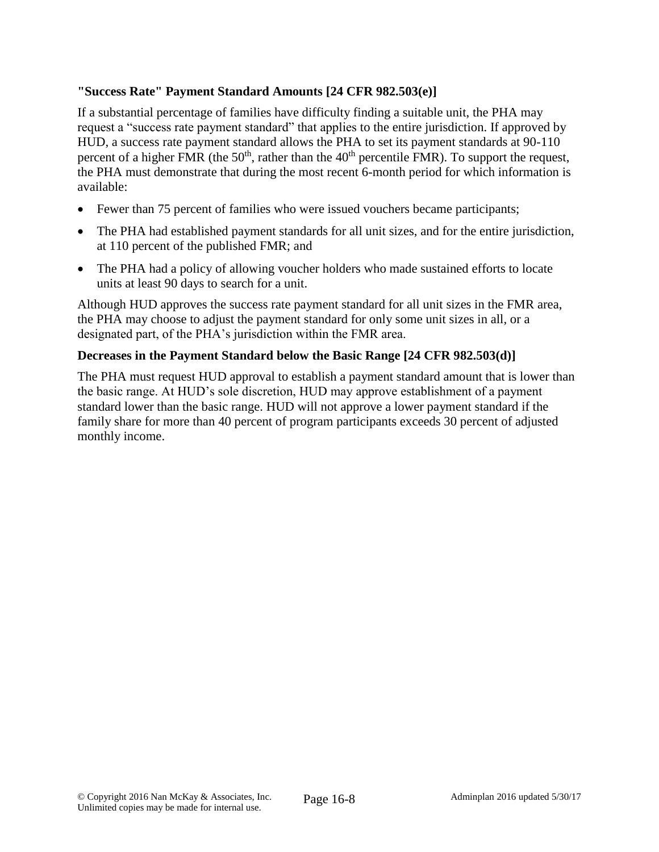## **"Success Rate" Payment Standard Amounts [24 CFR 982.503(e)]**

If a substantial percentage of families have difficulty finding a suitable unit, the PHA may request a "success rate payment standard" that applies to the entire jurisdiction. If approved by HUD, a success rate payment standard allows the PHA to set its payment standards at 90-110 percent of a higher FMR (the  $50<sup>th</sup>$ , rather than the  $40<sup>th</sup>$  percentile FMR). To support the request, the PHA must demonstrate that during the most recent 6-month period for which information is available:

- Fewer than 75 percent of families who were issued vouchers became participants;
- The PHA had established payment standards for all unit sizes, and for the entire jurisdiction, at 110 percent of the published FMR; and
- The PHA had a policy of allowing voucher holders who made sustained efforts to locate units at least 90 days to search for a unit.

Although HUD approves the success rate payment standard for all unit sizes in the FMR area, the PHA may choose to adjust the payment standard for only some unit sizes in all, or a designated part, of the PHA's jurisdiction within the FMR area.

# **Decreases in the Payment Standard below the Basic Range [24 CFR 982.503(d)]**

The PHA must request HUD approval to establish a payment standard amount that is lower than the basic range. At HUD's sole discretion, HUD may approve establishment of a payment standard lower than the basic range. HUD will not approve a lower payment standard if the family share for more than 40 percent of program participants exceeds 30 percent of adjusted monthly income.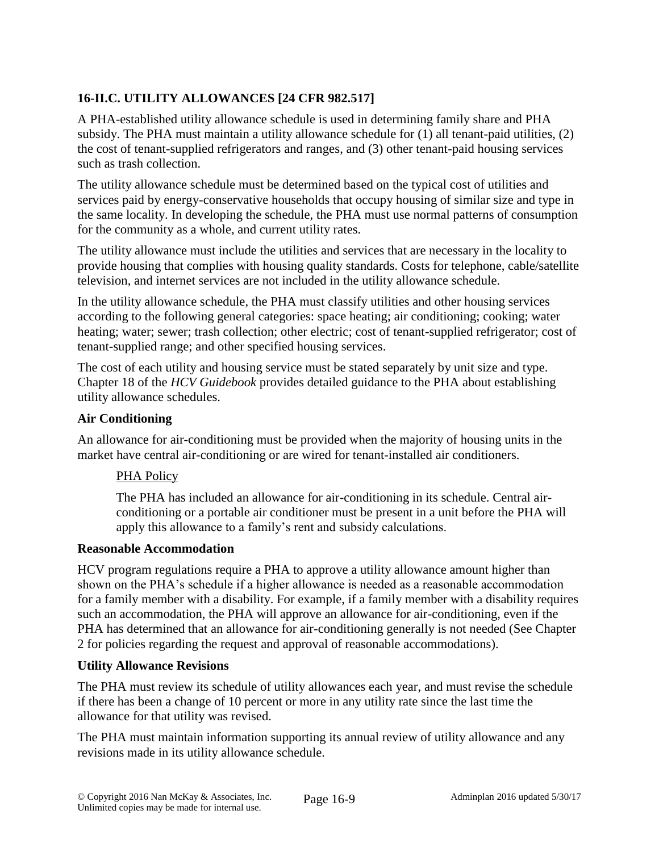# **16-II.C. UTILITY ALLOWANCES [24 CFR 982.517]**

A PHA-established utility allowance schedule is used in determining family share and PHA subsidy. The PHA must maintain a utility allowance schedule for (1) all tenant-paid utilities, (2) the cost of tenant-supplied refrigerators and ranges, and (3) other tenant-paid housing services such as trash collection.

The utility allowance schedule must be determined based on the typical cost of utilities and services paid by energy-conservative households that occupy housing of similar size and type in the same locality. In developing the schedule, the PHA must use normal patterns of consumption for the community as a whole, and current utility rates.

The utility allowance must include the utilities and services that are necessary in the locality to provide housing that complies with housing quality standards. Costs for telephone, cable/satellite television, and internet services are not included in the utility allowance schedule.

In the utility allowance schedule, the PHA must classify utilities and other housing services according to the following general categories: space heating; air conditioning; cooking; water heating; water; sewer; trash collection; other electric; cost of tenant-supplied refrigerator; cost of tenant-supplied range; and other specified housing services.

The cost of each utility and housing service must be stated separately by unit size and type. Chapter 18 of the *HCV Guidebook* provides detailed guidance to the PHA about establishing utility allowance schedules.

## **Air Conditioning**

An allowance for air-conditioning must be provided when the majority of housing units in the market have central air-conditioning or are wired for tenant-installed air conditioners.

# PHA Policy

The PHA has included an allowance for air-conditioning in its schedule. Central airconditioning or a portable air conditioner must be present in a unit before the PHA will apply this allowance to a family's rent and subsidy calculations.

## **Reasonable Accommodation**

HCV program regulations require a PHA to approve a utility allowance amount higher than shown on the PHA's schedule if a higher allowance is needed as a reasonable accommodation for a family member with a disability. For example, if a family member with a disability requires such an accommodation, the PHA will approve an allowance for air-conditioning, even if the PHA has determined that an allowance for air-conditioning generally is not needed (See Chapter 2 for policies regarding the request and approval of reasonable accommodations).

## **Utility Allowance Revisions**

The PHA must review its schedule of utility allowances each year, and must revise the schedule if there has been a change of 10 percent or more in any utility rate since the last time the allowance for that utility was revised.

The PHA must maintain information supporting its annual review of utility allowance and any revisions made in its utility allowance schedule.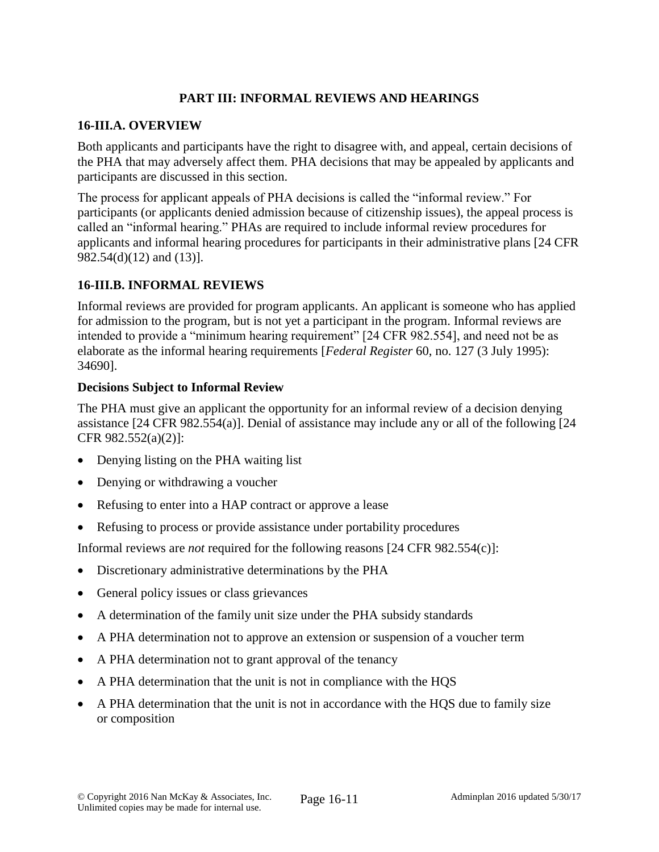## **PART III: INFORMAL REVIEWS AND HEARINGS**

### **16-III.A. OVERVIEW**

Both applicants and participants have the right to disagree with, and appeal, certain decisions of the PHA that may adversely affect them. PHA decisions that may be appealed by applicants and participants are discussed in this section.

The process for applicant appeals of PHA decisions is called the "informal review." For participants (or applicants denied admission because of citizenship issues), the appeal process is called an "informal hearing." PHAs are required to include informal review procedures for applicants and informal hearing procedures for participants in their administrative plans [24 CFR 982.54(d)(12) and (13)].

## **16-III.B. INFORMAL REVIEWS**

Informal reviews are provided for program applicants. An applicant is someone who has applied for admission to the program, but is not yet a participant in the program. Informal reviews are intended to provide a "minimum hearing requirement" [24 CFR 982.554], and need not be as elaborate as the informal hearing requirements [*Federal Register* 60, no. 127 (3 July 1995): 34690].

## **Decisions Subject to Informal Review**

The PHA must give an applicant the opportunity for an informal review of a decision denying assistance [24 CFR 982.554(a)]. Denial of assistance may include any or all of the following [24 CFR 982.552(a)(2)]:

- Denying listing on the PHA waiting list
- Denying or withdrawing a voucher
- Refusing to enter into a HAP contract or approve a lease
- Refusing to process or provide assistance under portability procedures

Informal reviews are *not* required for the following reasons [24 CFR 982.554(c)]:

- Discretionary administrative determinations by the PHA
- General policy issues or class grievances
- A determination of the family unit size under the PHA subsidy standards
- A PHA determination not to approve an extension or suspension of a voucher term
- A PHA determination not to grant approval of the tenancy
- A PHA determination that the unit is not in compliance with the HQS
- A PHA determination that the unit is not in accordance with the HQS due to family size or composition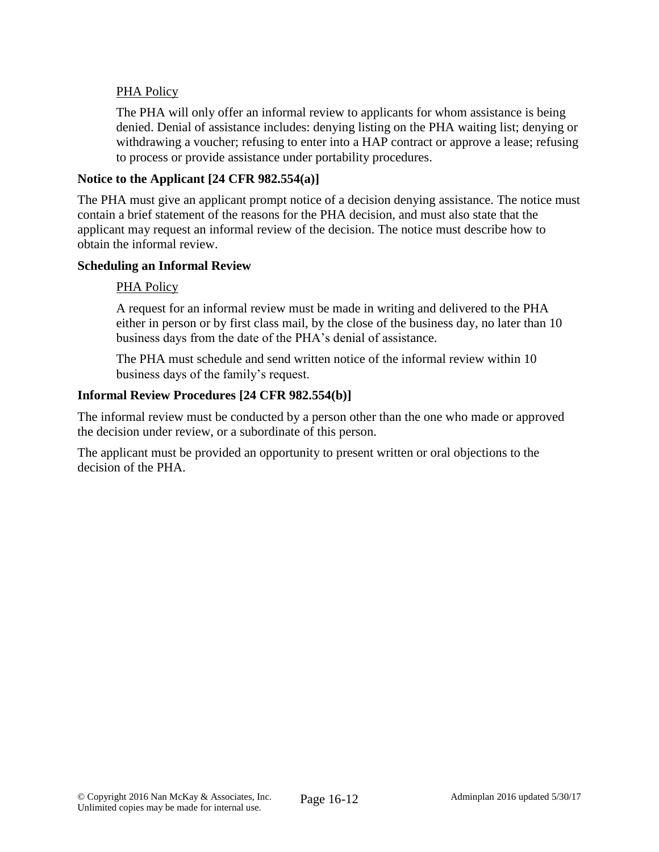## PHA Policy

The PHA will only offer an informal review to applicants for whom assistance is being denied. Denial of assistance includes: denying listing on the PHA waiting list; denying or withdrawing a voucher; refusing to enter into a HAP contract or approve a lease; refusing to process or provide assistance under portability procedures.

### **Notice to the Applicant [24 CFR 982.554(a)]**

The PHA must give an applicant prompt notice of a decision denying assistance. The notice must contain a brief statement of the reasons for the PHA decision, and must also state that the applicant may request an informal review of the decision. The notice must describe how to obtain the informal review.

### **Scheduling an Informal Review**

### PHA Policy

A request for an informal review must be made in writing and delivered to the PHA either in person or by first class mail, by the close of the business day, no later than 10 business days from the date of the PHA's denial of assistance.

The PHA must schedule and send written notice of the informal review within 10 business days of the family's request.

### **Informal Review Procedures [24 CFR 982.554(b)]**

The informal review must be conducted by a person other than the one who made or approved the decision under review, or a subordinate of this person.

The applicant must be provided an opportunity to present written or oral objections to the decision of the PHA.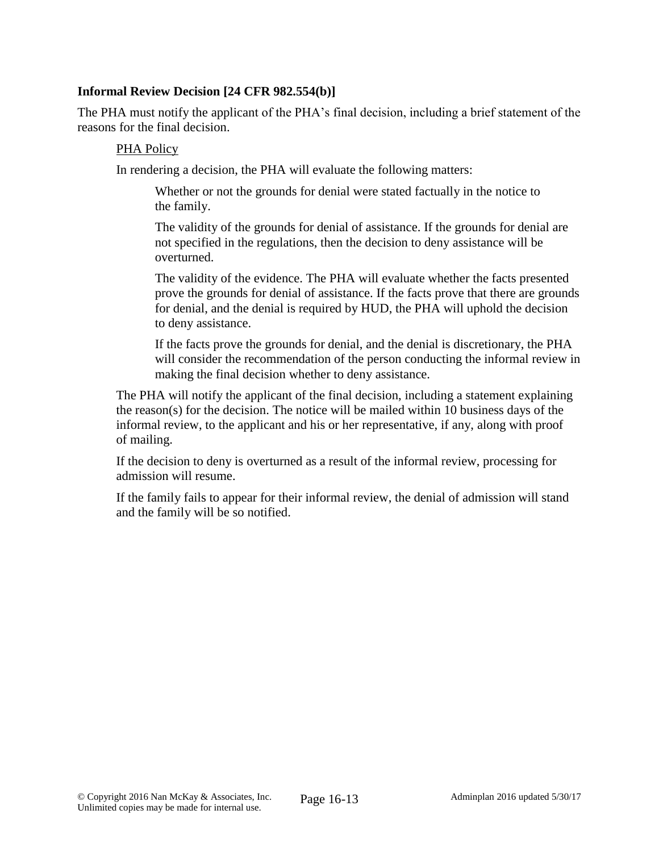### **Informal Review Decision [24 CFR 982.554(b)]**

The PHA must notify the applicant of the PHA's final decision, including a brief statement of the reasons for the final decision.

#### PHA Policy

In rendering a decision, the PHA will evaluate the following matters:

Whether or not the grounds for denial were stated factually in the notice to the family.

The validity of the grounds for denial of assistance. If the grounds for denial are not specified in the regulations, then the decision to deny assistance will be overturned.

The validity of the evidence. The PHA will evaluate whether the facts presented prove the grounds for denial of assistance. If the facts prove that there are grounds for denial, and the denial is required by HUD, the PHA will uphold the decision to deny assistance.

If the facts prove the grounds for denial, and the denial is discretionary, the PHA will consider the recommendation of the person conducting the informal review in making the final decision whether to deny assistance.

The PHA will notify the applicant of the final decision, including a statement explaining the reason(s) for the decision. The notice will be mailed within 10 business days of the informal review, to the applicant and his or her representative, if any, along with proof of mailing.

If the decision to deny is overturned as a result of the informal review, processing for admission will resume.

If the family fails to appear for their informal review, the denial of admission will stand and the family will be so notified.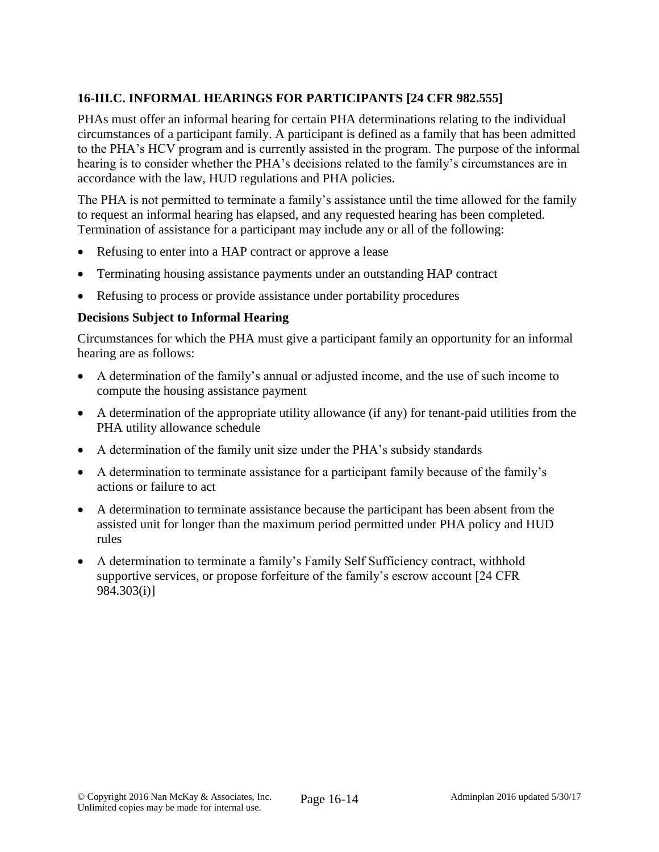# **16-III.C. INFORMAL HEARINGS FOR PARTICIPANTS [24 CFR 982.555]**

PHAs must offer an informal hearing for certain PHA determinations relating to the individual circumstances of a participant family. A participant is defined as a family that has been admitted to the PHA's HCV program and is currently assisted in the program. The purpose of the informal hearing is to consider whether the PHA's decisions related to the family's circumstances are in accordance with the law, HUD regulations and PHA policies.

The PHA is not permitted to terminate a family's assistance until the time allowed for the family to request an informal hearing has elapsed, and any requested hearing has been completed. Termination of assistance for a participant may include any or all of the following:

- Refusing to enter into a HAP contract or approve a lease
- Terminating housing assistance payments under an outstanding HAP contract
- Refusing to process or provide assistance under portability procedures

## **Decisions Subject to Informal Hearing**

Circumstances for which the PHA must give a participant family an opportunity for an informal hearing are as follows:

- A determination of the family's annual or adjusted income, and the use of such income to compute the housing assistance payment
- A determination of the appropriate utility allowance (if any) for tenant-paid utilities from the PHA utility allowance schedule
- A determination of the family unit size under the PHA's subsidy standards
- A determination to terminate assistance for a participant family because of the family's actions or failure to act
- A determination to terminate assistance because the participant has been absent from the assisted unit for longer than the maximum period permitted under PHA policy and HUD rules
- A determination to terminate a family's Family Self Sufficiency contract, withhold supportive services, or propose forfeiture of the family's escrow account [24 CFR 984.303(i)]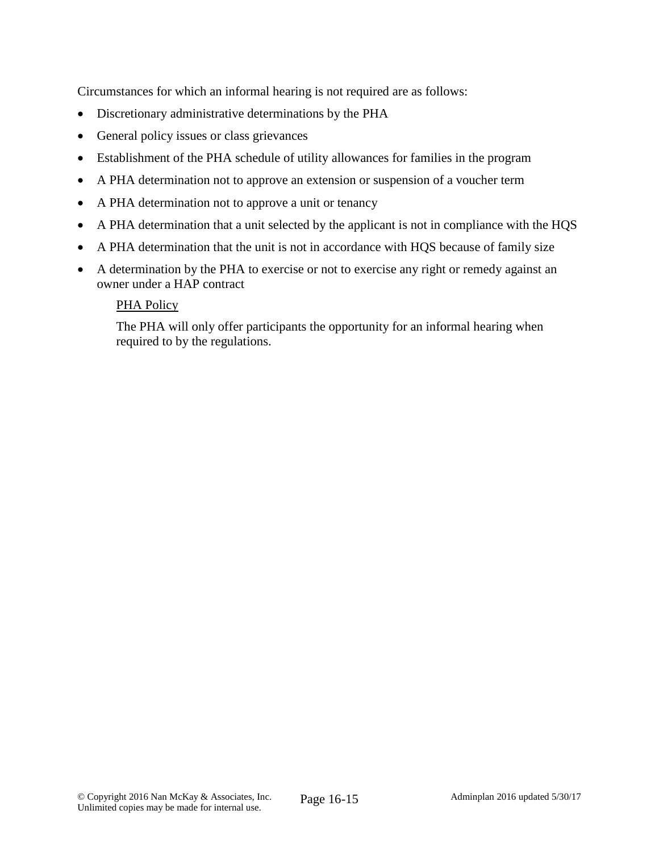Circumstances for which an informal hearing is not required are as follows:

- Discretionary administrative determinations by the PHA
- General policy issues or class grievances
- Establishment of the PHA schedule of utility allowances for families in the program
- A PHA determination not to approve an extension or suspension of a voucher term
- A PHA determination not to approve a unit or tenancy
- A PHA determination that a unit selected by the applicant is not in compliance with the HQS
- A PHA determination that the unit is not in accordance with HQS because of family size
- A determination by the PHA to exercise or not to exercise any right or remedy against an owner under a HAP contract

## PHA Policy

The PHA will only offer participants the opportunity for an informal hearing when required to by the regulations.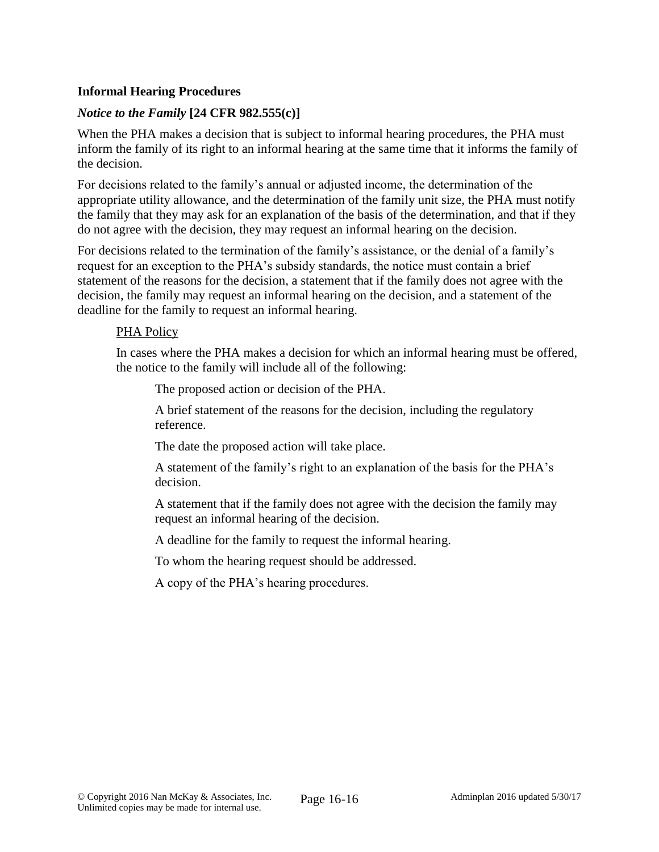## **Informal Hearing Procedures**

## *Notice to the Family* **[24 CFR 982.555(c)]**

When the PHA makes a decision that is subject to informal hearing procedures, the PHA must inform the family of its right to an informal hearing at the same time that it informs the family of the decision.

For decisions related to the family's annual or adjusted income, the determination of the appropriate utility allowance, and the determination of the family unit size, the PHA must notify the family that they may ask for an explanation of the basis of the determination, and that if they do not agree with the decision, they may request an informal hearing on the decision.

For decisions related to the termination of the family's assistance, or the denial of a family's request for an exception to the PHA's subsidy standards, the notice must contain a brief statement of the reasons for the decision, a statement that if the family does not agree with the decision, the family may request an informal hearing on the decision, and a statement of the deadline for the family to request an informal hearing.

### PHA Policy

In cases where the PHA makes a decision for which an informal hearing must be offered, the notice to the family will include all of the following:

The proposed action or decision of the PHA.

A brief statement of the reasons for the decision, including the regulatory reference.

The date the proposed action will take place.

A statement of the family's right to an explanation of the basis for the PHA's decision.

A statement that if the family does not agree with the decision the family may request an informal hearing of the decision.

A deadline for the family to request the informal hearing.

To whom the hearing request should be addressed.

A copy of the PHA's hearing procedures.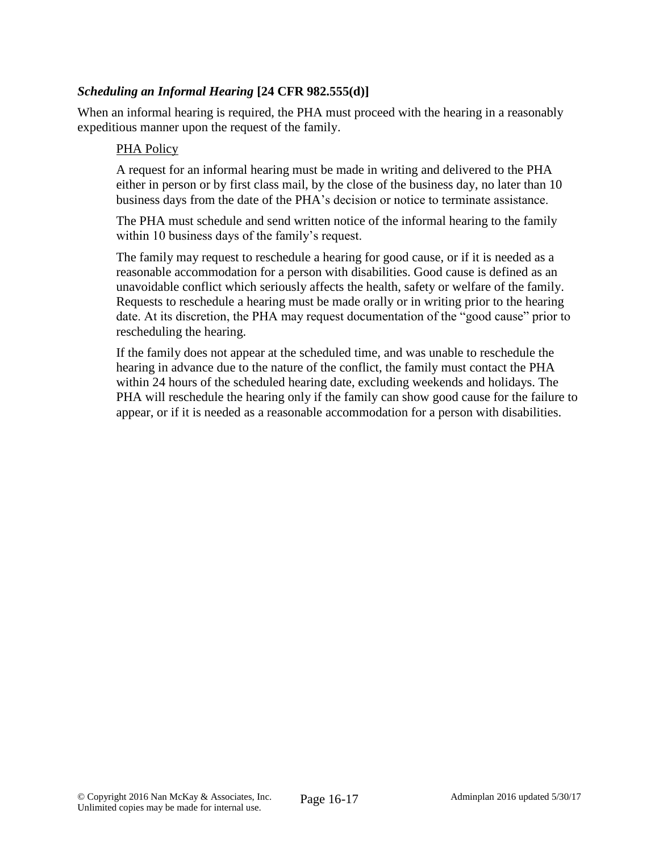## *Scheduling an Informal Hearing* **[24 CFR 982.555(d)]**

When an informal hearing is required, the PHA must proceed with the hearing in a reasonably expeditious manner upon the request of the family.

#### PHA Policy

A request for an informal hearing must be made in writing and delivered to the PHA either in person or by first class mail, by the close of the business day, no later than 10 business days from the date of the PHA's decision or notice to terminate assistance.

The PHA must schedule and send written notice of the informal hearing to the family within 10 business days of the family's request.

The family may request to reschedule a hearing for good cause, or if it is needed as a reasonable accommodation for a person with disabilities. Good cause is defined as an unavoidable conflict which seriously affects the health, safety or welfare of the family. Requests to reschedule a hearing must be made orally or in writing prior to the hearing date. At its discretion, the PHA may request documentation of the "good cause" prior to rescheduling the hearing.

If the family does not appear at the scheduled time, and was unable to reschedule the hearing in advance due to the nature of the conflict, the family must contact the PHA within 24 hours of the scheduled hearing date, excluding weekends and holidays. The PHA will reschedule the hearing only if the family can show good cause for the failure to appear, or if it is needed as a reasonable accommodation for a person with disabilities.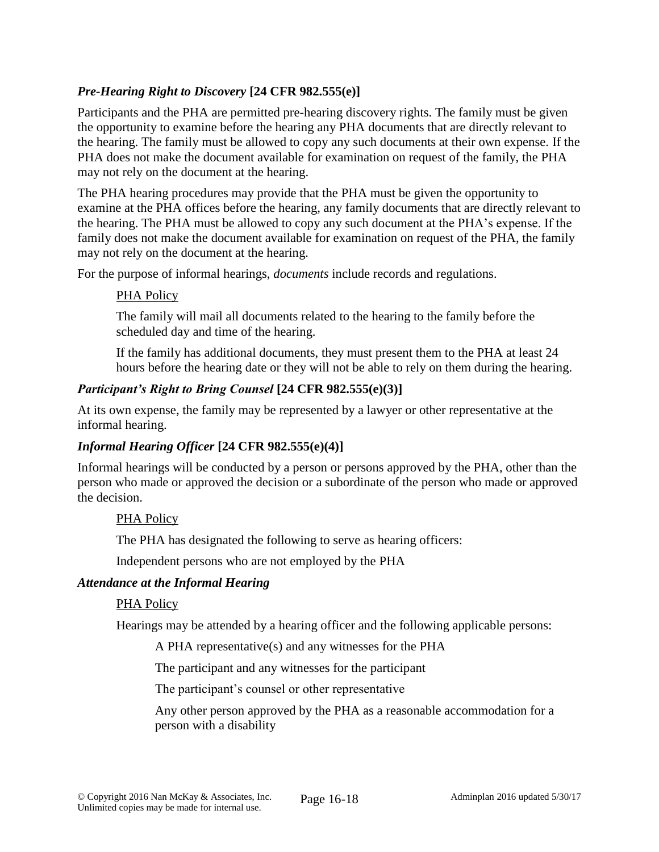## *Pre-Hearing Right to Discovery* **[24 CFR 982.555(e)]**

Participants and the PHA are permitted pre-hearing discovery rights. The family must be given the opportunity to examine before the hearing any PHA documents that are directly relevant to the hearing. The family must be allowed to copy any such documents at their own expense. If the PHA does not make the document available for examination on request of the family, the PHA may not rely on the document at the hearing.

The PHA hearing procedures may provide that the PHA must be given the opportunity to examine at the PHA offices before the hearing, any family documents that are directly relevant to the hearing. The PHA must be allowed to copy any such document at the PHA's expense. If the family does not make the document available for examination on request of the PHA, the family may not rely on the document at the hearing.

For the purpose of informal hearings, *documents* include records and regulations.

## PHA Policy

The family will mail all documents related to the hearing to the family before the scheduled day and time of the hearing.

If the family has additional documents, they must present them to the PHA at least 24 hours before the hearing date or they will not be able to rely on them during the hearing.

## *Participant's Right to Bring Counsel* **[24 CFR 982.555(e)(3)]**

At its own expense, the family may be represented by a lawyer or other representative at the informal hearing.

## *Informal Hearing Officer* **[24 CFR 982.555(e)(4)]**

Informal hearings will be conducted by a person or persons approved by the PHA, other than the person who made or approved the decision or a subordinate of the person who made or approved the decision.

## PHA Policy

The PHA has designated the following to serve as hearing officers:

Independent persons who are not employed by the PHA

### *Attendance at the Informal Hearing*

### PHA Policy

Hearings may be attended by a hearing officer and the following applicable persons:

A PHA representative(s) and any witnesses for the PHA

The participant and any witnesses for the participant

The participant's counsel or other representative

Any other person approved by the PHA as a reasonable accommodation for a person with a disability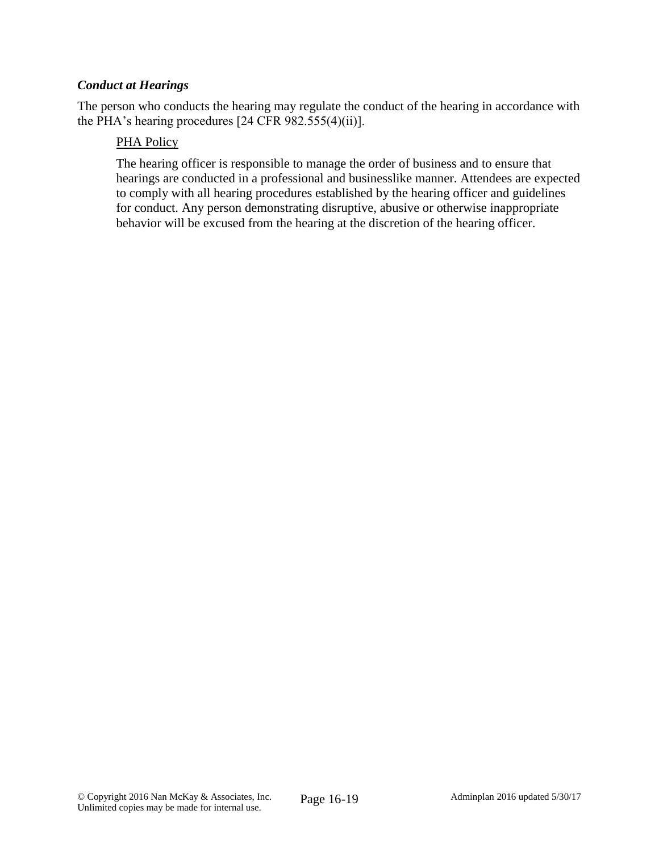### *Conduct at Hearings*

The person who conducts the hearing may regulate the conduct of the hearing in accordance with the PHA's hearing procedures [24 CFR 982.555(4)(ii)].

### PHA Policy

The hearing officer is responsible to manage the order of business and to ensure that hearings are conducted in a professional and businesslike manner. Attendees are expected to comply with all hearing procedures established by the hearing officer and guidelines for conduct. Any person demonstrating disruptive, abusive or otherwise inappropriate behavior will be excused from the hearing at the discretion of the hearing officer.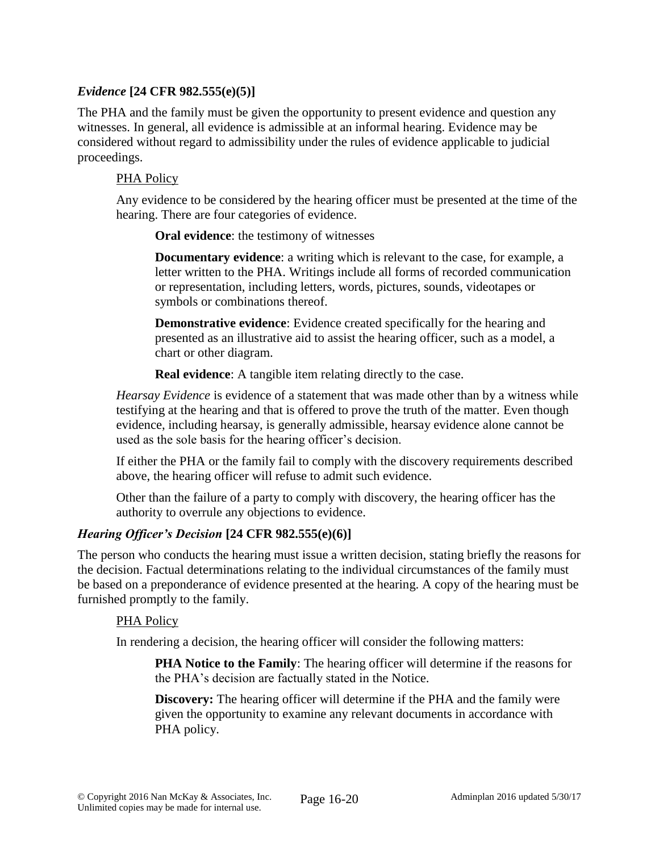## *Evidence* **[24 CFR 982.555(e)(5)]**

The PHA and the family must be given the opportunity to present evidence and question any witnesses. In general, all evidence is admissible at an informal hearing. Evidence may be considered without regard to admissibility under the rules of evidence applicable to judicial proceedings.

### PHA Policy

Any evidence to be considered by the hearing officer must be presented at the time of the hearing. There are four categories of evidence.

**Oral evidence**: the testimony of witnesses

**Documentary evidence**: a writing which is relevant to the case, for example, a letter written to the PHA. Writings include all forms of recorded communication or representation, including letters, words, pictures, sounds, videotapes or symbols or combinations thereof.

**Demonstrative evidence**: Evidence created specifically for the hearing and presented as an illustrative aid to assist the hearing officer, such as a model, a chart or other diagram.

**Real evidence:** A tangible item relating directly to the case.

*Hearsay Evidence* is evidence of a statement that was made other than by a witness while testifying at the hearing and that is offered to prove the truth of the matter. Even though evidence, including hearsay, is generally admissible, hearsay evidence alone cannot be used as the sole basis for the hearing officer's decision.

If either the PHA or the family fail to comply with the discovery requirements described above, the hearing officer will refuse to admit such evidence.

Other than the failure of a party to comply with discovery, the hearing officer has the authority to overrule any objections to evidence.

## *Hearing Officer's Decision* **[24 CFR 982.555(e)(6)]**

The person who conducts the hearing must issue a written decision, stating briefly the reasons for the decision. Factual determinations relating to the individual circumstances of the family must be based on a preponderance of evidence presented at the hearing. A copy of the hearing must be furnished promptly to the family.

### PHA Policy

In rendering a decision, the hearing officer will consider the following matters:

**PHA Notice to the Family**: The hearing officer will determine if the reasons for the PHA's decision are factually stated in the Notice.

**Discovery:** The hearing officer will determine if the PHA and the family were given the opportunity to examine any relevant documents in accordance with PHA policy.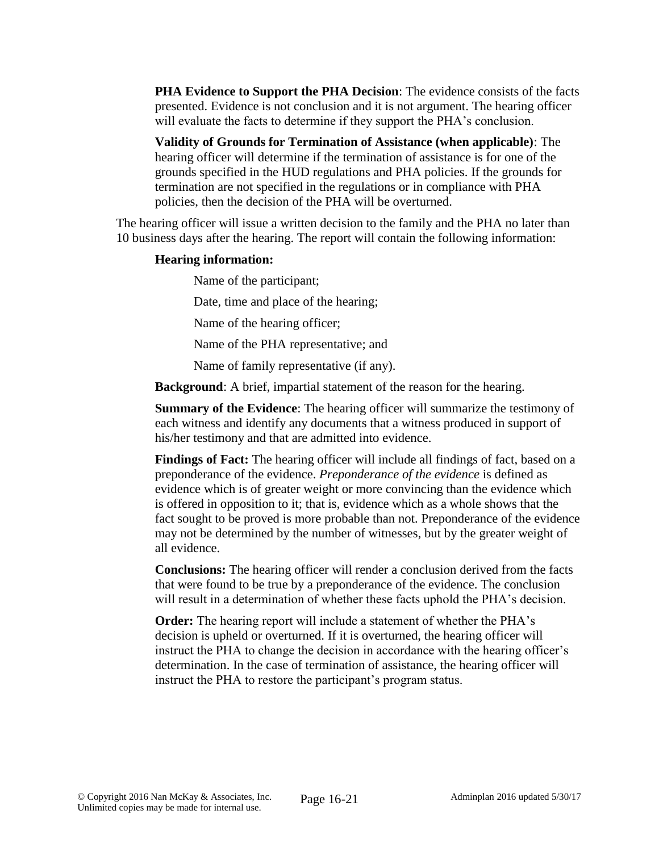**PHA Evidence to Support the PHA Decision**: The evidence consists of the facts presented. Evidence is not conclusion and it is not argument. The hearing officer will evaluate the facts to determine if they support the PHA's conclusion.

**Validity of Grounds for Termination of Assistance (when applicable)**: The hearing officer will determine if the termination of assistance is for one of the grounds specified in the HUD regulations and PHA policies. If the grounds for termination are not specified in the regulations or in compliance with PHA policies, then the decision of the PHA will be overturned.

The hearing officer will issue a written decision to the family and the PHA no later than 10 business days after the hearing. The report will contain the following information:

### **Hearing information:**

Name of the participant; Date, time and place of the hearing; Name of the hearing officer; Name of the PHA representative; and Name of family representative (if any).

**Background**: A brief, impartial statement of the reason for the hearing.

**Summary of the Evidence**: The hearing officer will summarize the testimony of each witness and identify any documents that a witness produced in support of his/her testimony and that are admitted into evidence.

**Findings of Fact:** The hearing officer will include all findings of fact, based on a preponderance of the evidence. *Preponderance of the evidence* is defined as evidence which is of greater weight or more convincing than the evidence which is offered in opposition to it; that is, evidence which as a whole shows that the fact sought to be proved is more probable than not. Preponderance of the evidence may not be determined by the number of witnesses, but by the greater weight of all evidence.

**Conclusions:** The hearing officer will render a conclusion derived from the facts that were found to be true by a preponderance of the evidence. The conclusion will result in a determination of whether these facts uphold the PHA's decision.

**Order:** The hearing report will include a statement of whether the PHA's decision is upheld or overturned. If it is overturned, the hearing officer will instruct the PHA to change the decision in accordance with the hearing officer's determination. In the case of termination of assistance, the hearing officer will instruct the PHA to restore the participant's program status.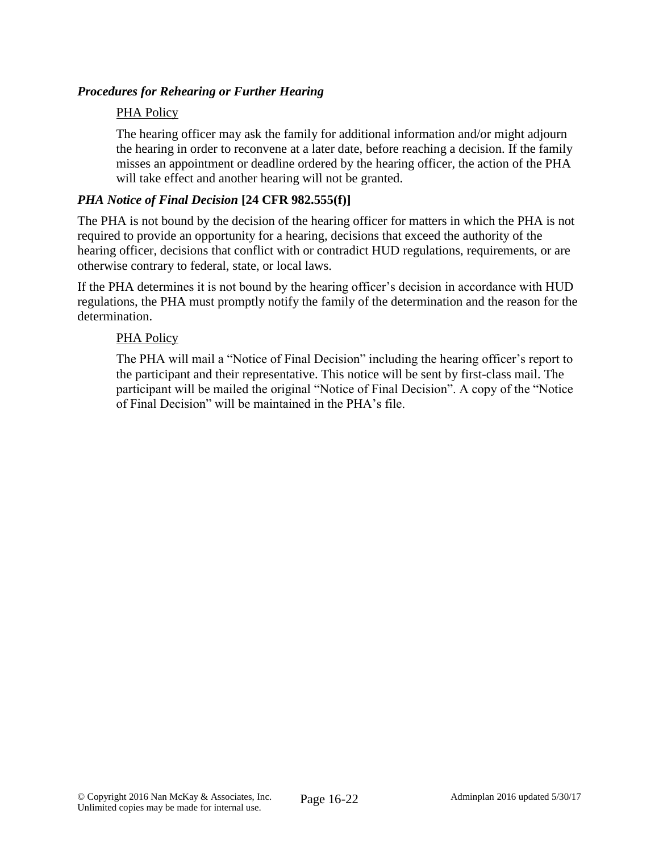## *Procedures for Rehearing or Further Hearing*

### PHA Policy

The hearing officer may ask the family for additional information and/or might adjourn the hearing in order to reconvene at a later date, before reaching a decision. If the family misses an appointment or deadline ordered by the hearing officer, the action of the PHA will take effect and another hearing will not be granted.

### *PHA Notice of Final Decision* **[24 CFR 982.555(f)]**

The PHA is not bound by the decision of the hearing officer for matters in which the PHA is not required to provide an opportunity for a hearing, decisions that exceed the authority of the hearing officer, decisions that conflict with or contradict HUD regulations, requirements, or are otherwise contrary to federal, state, or local laws.

If the PHA determines it is not bound by the hearing officer's decision in accordance with HUD regulations, the PHA must promptly notify the family of the determination and the reason for the determination.

### PHA Policy

The PHA will mail a "Notice of Final Decision" including the hearing officer's report to the participant and their representative. This notice will be sent by first-class mail. The participant will be mailed the original "Notice of Final Decision". A copy of the "Notice of Final Decision" will be maintained in the PHA's file.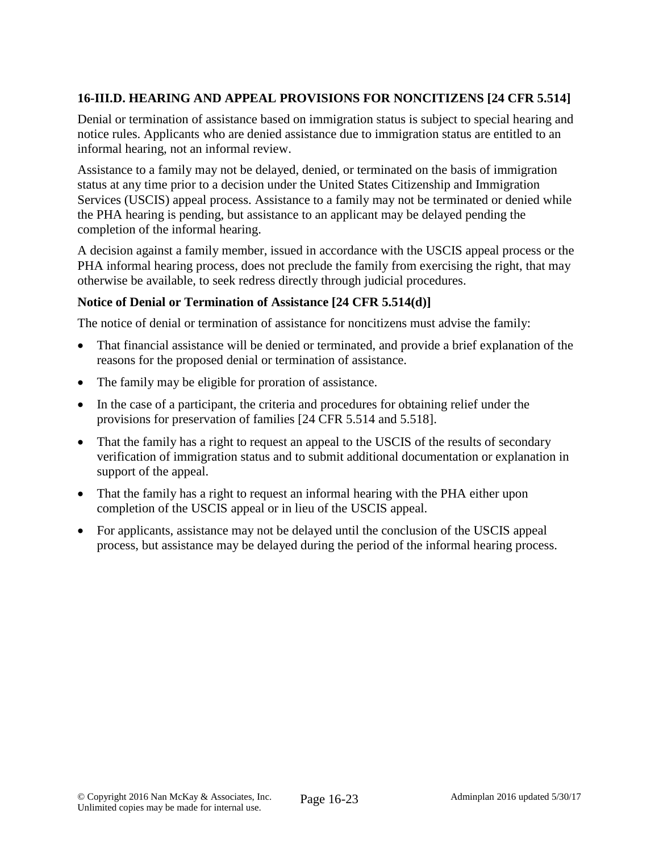# **16-III.D. HEARING AND APPEAL PROVISIONS FOR NONCITIZENS [24 CFR 5.514]**

Denial or termination of assistance based on immigration status is subject to special hearing and notice rules. Applicants who are denied assistance due to immigration status are entitled to an informal hearing, not an informal review.

Assistance to a family may not be delayed, denied, or terminated on the basis of immigration status at any time prior to a decision under the United States Citizenship and Immigration Services (USCIS) appeal process. Assistance to a family may not be terminated or denied while the PHA hearing is pending, but assistance to an applicant may be delayed pending the completion of the informal hearing.

A decision against a family member, issued in accordance with the USCIS appeal process or the PHA informal hearing process, does not preclude the family from exercising the right, that may otherwise be available, to seek redress directly through judicial procedures.

## **Notice of Denial or Termination of Assistance [24 CFR 5.514(d)]**

The notice of denial or termination of assistance for noncitizens must advise the family:

- That financial assistance will be denied or terminated, and provide a brief explanation of the reasons for the proposed denial or termination of assistance.
- The family may be eligible for proration of assistance.
- In the case of a participant, the criteria and procedures for obtaining relief under the provisions for preservation of families [24 CFR 5.514 and 5.518].
- That the family has a right to request an appeal to the USCIS of the results of secondary verification of immigration status and to submit additional documentation or explanation in support of the appeal.
- That the family has a right to request an informal hearing with the PHA either upon completion of the USCIS appeal or in lieu of the USCIS appeal.
- For applicants, assistance may not be delayed until the conclusion of the USCIS appeal process, but assistance may be delayed during the period of the informal hearing process.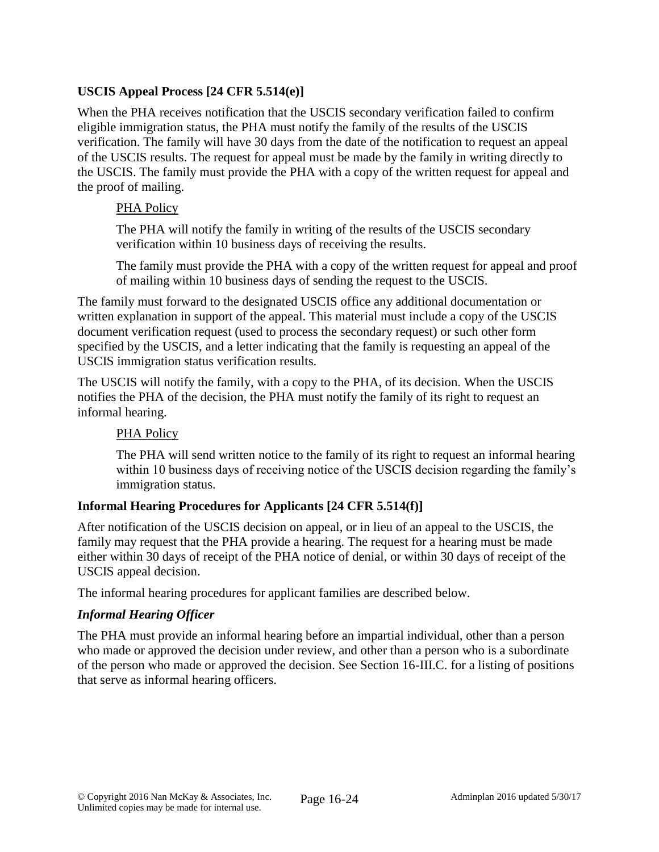# **USCIS Appeal Process [24 CFR 5.514(e)]**

When the PHA receives notification that the USCIS secondary verification failed to confirm eligible immigration status, the PHA must notify the family of the results of the USCIS verification. The family will have 30 days from the date of the notification to request an appeal of the USCIS results. The request for appeal must be made by the family in writing directly to the USCIS. The family must provide the PHA with a copy of the written request for appeal and the proof of mailing.

## PHA Policy

The PHA will notify the family in writing of the results of the USCIS secondary verification within 10 business days of receiving the results.

The family must provide the PHA with a copy of the written request for appeal and proof of mailing within 10 business days of sending the request to the USCIS.

The family must forward to the designated USCIS office any additional documentation or written explanation in support of the appeal. This material must include a copy of the USCIS document verification request (used to process the secondary request) or such other form specified by the USCIS, and a letter indicating that the family is requesting an appeal of the USCIS immigration status verification results.

The USCIS will notify the family, with a copy to the PHA, of its decision. When the USCIS notifies the PHA of the decision, the PHA must notify the family of its right to request an informal hearing.

## PHA Policy

The PHA will send written notice to the family of its right to request an informal hearing within 10 business days of receiving notice of the USCIS decision regarding the family's immigration status.

# **Informal Hearing Procedures for Applicants [24 CFR 5.514(f)]**

After notification of the USCIS decision on appeal, or in lieu of an appeal to the USCIS, the family may request that the PHA provide a hearing. The request for a hearing must be made either within 30 days of receipt of the PHA notice of denial, or within 30 days of receipt of the USCIS appeal decision.

The informal hearing procedures for applicant families are described below.

## *Informal Hearing Officer*

The PHA must provide an informal hearing before an impartial individual, other than a person who made or approved the decision under review, and other than a person who is a subordinate of the person who made or approved the decision. See Section 16-III.C. for a listing of positions that serve as informal hearing officers.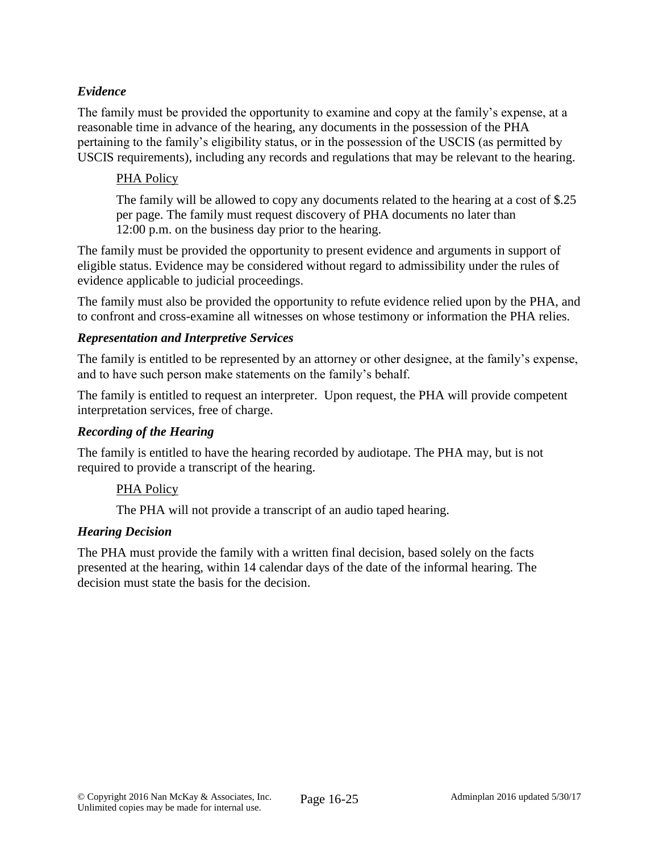## *Evidence*

The family must be provided the opportunity to examine and copy at the family's expense, at a reasonable time in advance of the hearing, any documents in the possession of the PHA pertaining to the family's eligibility status, or in the possession of the USCIS (as permitted by USCIS requirements), including any records and regulations that may be relevant to the hearing.

## PHA Policy

The family will be allowed to copy any documents related to the hearing at a cost of \$.25 per page. The family must request discovery of PHA documents no later than 12:00 p.m. on the business day prior to the hearing.

The family must be provided the opportunity to present evidence and arguments in support of eligible status. Evidence may be considered without regard to admissibility under the rules of evidence applicable to judicial proceedings.

The family must also be provided the opportunity to refute evidence relied upon by the PHA, and to confront and cross-examine all witnesses on whose testimony or information the PHA relies.

## *Representation and Interpretive Services*

The family is entitled to be represented by an attorney or other designee, at the family's expense, and to have such person make statements on the family's behalf.

The family is entitled to request an interpreter. Upon request, the PHA will provide competent interpretation services, free of charge.

## *Recording of the Hearing*

The family is entitled to have the hearing recorded by audiotape. The PHA may, but is not required to provide a transcript of the hearing.

## PHA Policy

The PHA will not provide a transcript of an audio taped hearing.

## *Hearing Decision*

The PHA must provide the family with a written final decision, based solely on the facts presented at the hearing, within 14 calendar days of the date of the informal hearing. The decision must state the basis for the decision.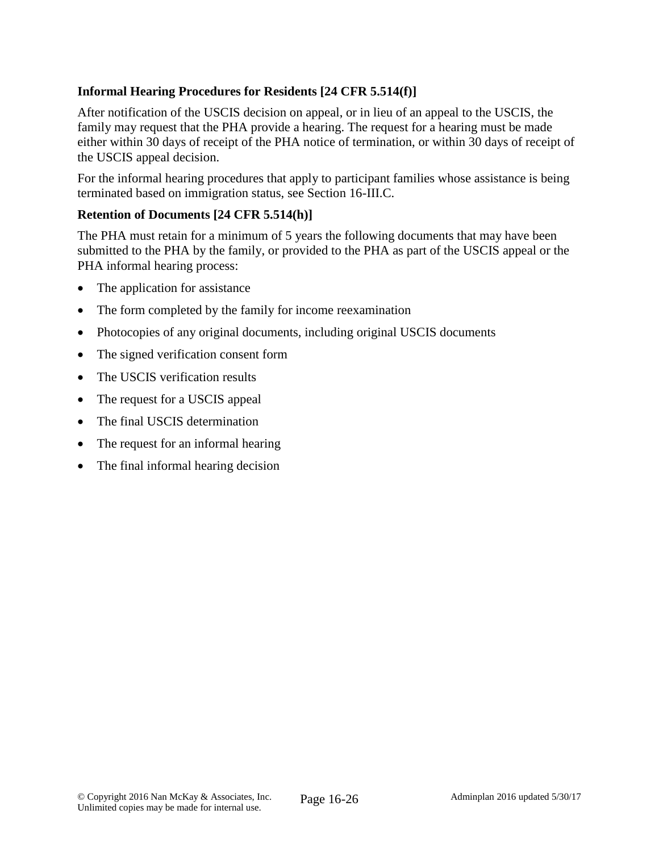## **Informal Hearing Procedures for Residents [24 CFR 5.514(f)]**

After notification of the USCIS decision on appeal, or in lieu of an appeal to the USCIS, the family may request that the PHA provide a hearing. The request for a hearing must be made either within 30 days of receipt of the PHA notice of termination, or within 30 days of receipt of the USCIS appeal decision.

For the informal hearing procedures that apply to participant families whose assistance is being terminated based on immigration status, see Section 16-III.C.

### **Retention of Documents [24 CFR 5.514(h)]**

The PHA must retain for a minimum of 5 years the following documents that may have been submitted to the PHA by the family, or provided to the PHA as part of the USCIS appeal or the PHA informal hearing process:

- The application for assistance
- The form completed by the family for income reexamination
- Photocopies of any original documents, including original USCIS documents
- The signed verification consent form
- The USCIS verification results
- The request for a USCIS appeal
- The final USCIS determination
- The request for an informal hearing
- The final informal hearing decision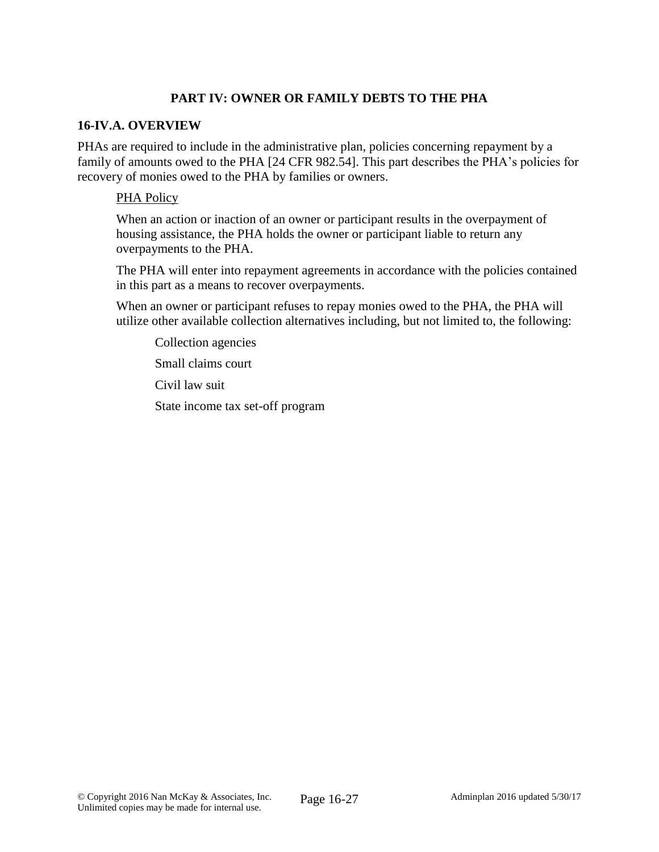## **PART IV: OWNER OR FAMILY DEBTS TO THE PHA**

### **16-IV.A. OVERVIEW**

PHAs are required to include in the administrative plan, policies concerning repayment by a family of amounts owed to the PHA [24 CFR 982.54]. This part describes the PHA's policies for recovery of monies owed to the PHA by families or owners.

### PHA Policy

When an action or inaction of an owner or participant results in the overpayment of housing assistance, the PHA holds the owner or participant liable to return any overpayments to the PHA.

The PHA will enter into repayment agreements in accordance with the policies contained in this part as a means to recover overpayments.

When an owner or participant refuses to repay monies owed to the PHA, the PHA will utilize other available collection alternatives including, but not limited to, the following:

Collection agencies

Small claims court

Civil law suit

State income tax set-off program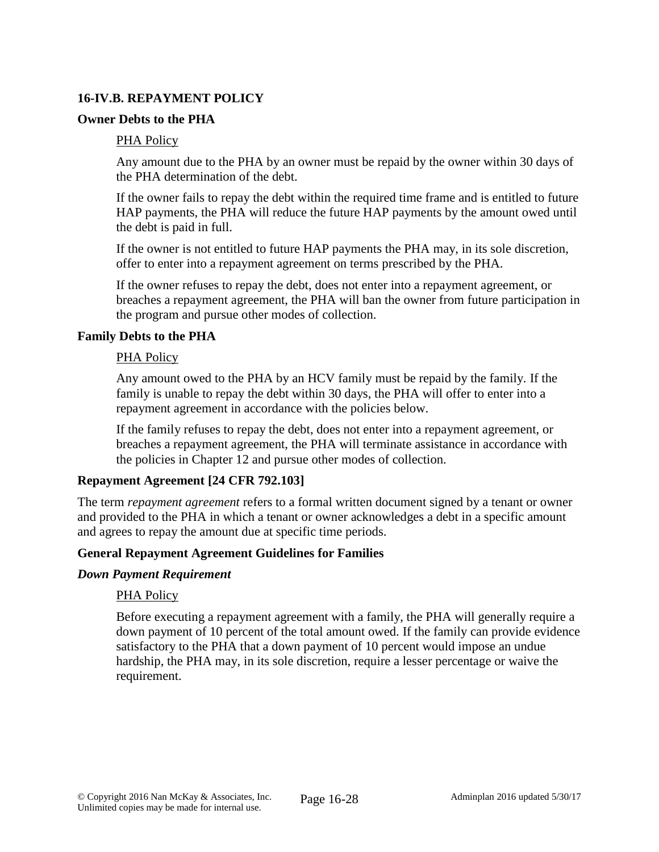## **16-IV.B. REPAYMENT POLICY**

### **Owner Debts to the PHA**

### PHA Policy

Any amount due to the PHA by an owner must be repaid by the owner within 30 days of the PHA determination of the debt.

If the owner fails to repay the debt within the required time frame and is entitled to future HAP payments, the PHA will reduce the future HAP payments by the amount owed until the debt is paid in full.

If the owner is not entitled to future HAP payments the PHA may, in its sole discretion, offer to enter into a repayment agreement on terms prescribed by the PHA.

If the owner refuses to repay the debt, does not enter into a repayment agreement, or breaches a repayment agreement, the PHA will ban the owner from future participation in the program and pursue other modes of collection.

### **Family Debts to the PHA**

### PHA Policy

Any amount owed to the PHA by an HCV family must be repaid by the family. If the family is unable to repay the debt within 30 days, the PHA will offer to enter into a repayment agreement in accordance with the policies below.

If the family refuses to repay the debt, does not enter into a repayment agreement, or breaches a repayment agreement, the PHA will terminate assistance in accordance with the policies in Chapter 12 and pursue other modes of collection.

### **Repayment Agreement [24 CFR 792.103]**

The term *repayment agreement* refers to a formal written document signed by a tenant or owner and provided to the PHA in which a tenant or owner acknowledges a debt in a specific amount and agrees to repay the amount due at specific time periods.

### **General Repayment Agreement Guidelines for Families**

#### *Down Payment Requirement*

### PHA Policy

Before executing a repayment agreement with a family, the PHA will generally require a down payment of 10 percent of the total amount owed. If the family can provide evidence satisfactory to the PHA that a down payment of 10 percent would impose an undue hardship, the PHA may, in its sole discretion, require a lesser percentage or waive the requirement.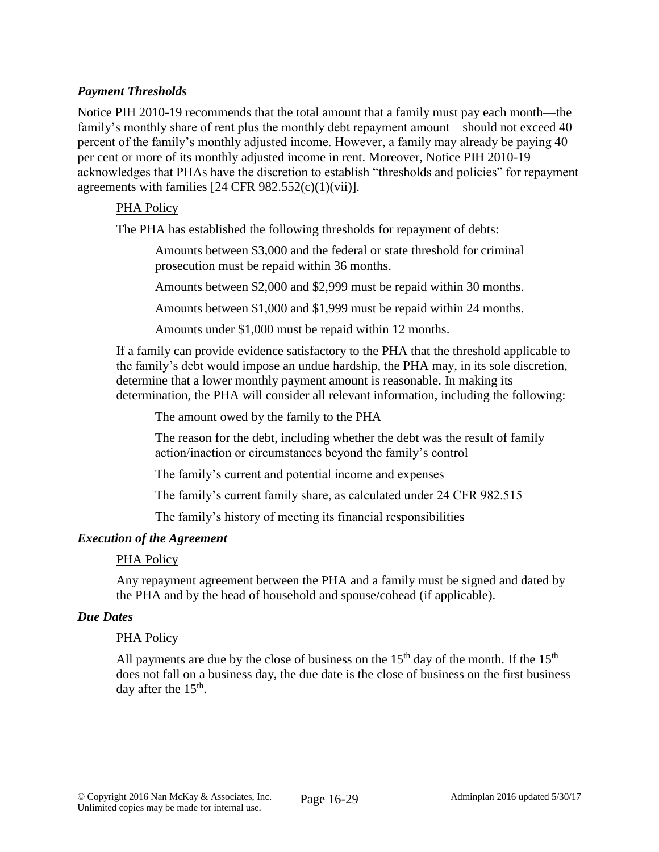## *Payment Thresholds*

Notice PIH 2010-19 recommends that the total amount that a family must pay each month—the family's monthly share of rent plus the monthly debt repayment amount—should not exceed 40 percent of the family's monthly adjusted income. However, a family may already be paying 40 per cent or more of its monthly adjusted income in rent. Moreover, Notice PIH 2010-19 acknowledges that PHAs have the discretion to establish "thresholds and policies" for repayment agreements with families  $[24 \text{ CFR } 982.552(c)(1)(vii)].$ 

### PHA Policy

The PHA has established the following thresholds for repayment of debts:

Amounts between \$3,000 and the federal or state threshold for criminal prosecution must be repaid within 36 months.

Amounts between \$2,000 and \$2,999 must be repaid within 30 months.

Amounts between \$1,000 and \$1,999 must be repaid within 24 months.

Amounts under \$1,000 must be repaid within 12 months.

If a family can provide evidence satisfactory to the PHA that the threshold applicable to the family's debt would impose an undue hardship, the PHA may, in its sole discretion, determine that a lower monthly payment amount is reasonable. In making its determination, the PHA will consider all relevant information, including the following:

The amount owed by the family to the PHA

The reason for the debt, including whether the debt was the result of family action/inaction or circumstances beyond the family's control

The family's current and potential income and expenses

The family's current family share, as calculated under 24 CFR 982.515

The family's history of meeting its financial responsibilities

### *Execution of the Agreement*

### PHA Policy

Any repayment agreement between the PHA and a family must be signed and dated by the PHA and by the head of household and spouse/cohead (if applicable).

#### *Due Dates*

#### PHA Policy

All payments are due by the close of business on the  $15<sup>th</sup>$  day of the month. If the  $15<sup>th</sup>$ does not fall on a business day, the due date is the close of business on the first business day after the  $15<sup>th</sup>$ .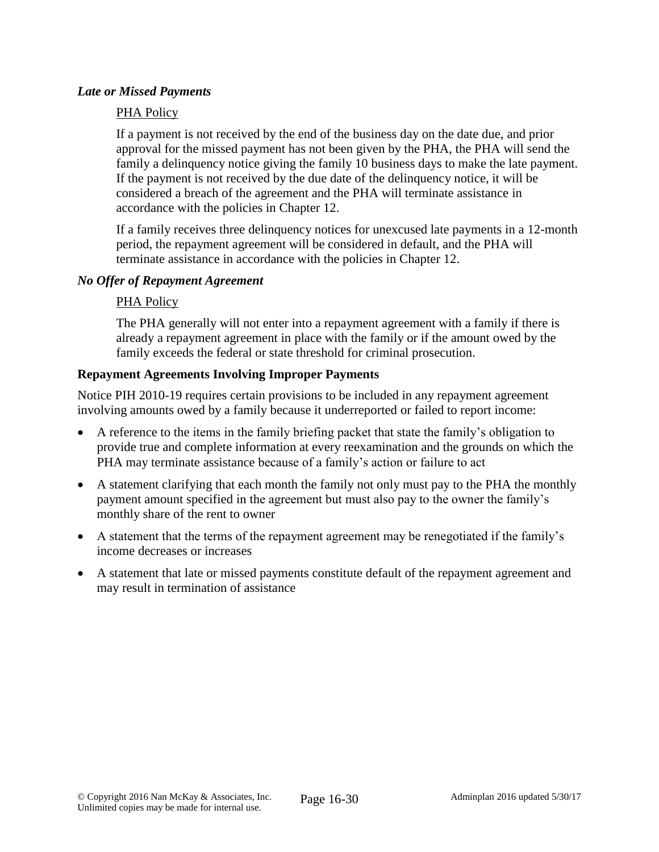### *Late or Missed Payments*

### PHA Policy

If a payment is not received by the end of the business day on the date due, and prior approval for the missed payment has not been given by the PHA, the PHA will send the family a delinquency notice giving the family 10 business days to make the late payment. If the payment is not received by the due date of the delinquency notice, it will be considered a breach of the agreement and the PHA will terminate assistance in accordance with the policies in Chapter 12.

If a family receives three delinquency notices for unexcused late payments in a 12-month period, the repayment agreement will be considered in default, and the PHA will terminate assistance in accordance with the policies in Chapter 12.

### *No Offer of Repayment Agreement*

### PHA Policy

The PHA generally will not enter into a repayment agreement with a family if there is already a repayment agreement in place with the family or if the amount owed by the family exceeds the federal or state threshold for criminal prosecution.

### **Repayment Agreements Involving Improper Payments**

Notice PIH 2010-19 requires certain provisions to be included in any repayment agreement involving amounts owed by a family because it underreported or failed to report income:

- A reference to the items in the family briefing packet that state the family's obligation to provide true and complete information at every reexamination and the grounds on which the PHA may terminate assistance because of a family's action or failure to act
- A statement clarifying that each month the family not only must pay to the PHA the monthly payment amount specified in the agreement but must also pay to the owner the family's monthly share of the rent to owner
- A statement that the terms of the repayment agreement may be renegotiated if the family's income decreases or increases
- A statement that late or missed payments constitute default of the repayment agreement and may result in termination of assistance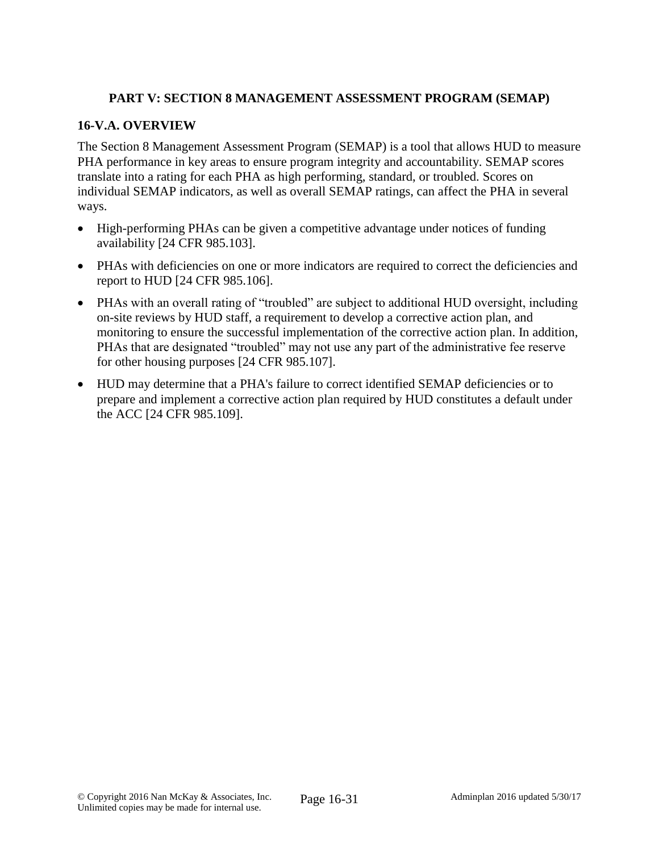## **PART V: SECTION 8 MANAGEMENT ASSESSMENT PROGRAM (SEMAP)**

## **16-V.A. OVERVIEW**

The Section 8 Management Assessment Program (SEMAP) is a tool that allows HUD to measure PHA performance in key areas to ensure program integrity and accountability. SEMAP scores translate into a rating for each PHA as high performing, standard, or troubled. Scores on individual SEMAP indicators, as well as overall SEMAP ratings, can affect the PHA in several ways.

- High-performing PHAs can be given a competitive advantage under notices of funding availability [24 CFR 985.103].
- PHAs with deficiencies on one or more indicators are required to correct the deficiencies and report to HUD [24 CFR 985.106].
- PHAs with an overall rating of "troubled" are subject to additional HUD oversight, including on-site reviews by HUD staff, a requirement to develop a corrective action plan, and monitoring to ensure the successful implementation of the corrective action plan. In addition, PHAs that are designated "troubled" may not use any part of the administrative fee reserve for other housing purposes [24 CFR 985.107].
- HUD may determine that a PHA's failure to correct identified SEMAP deficiencies or to prepare and implement a corrective action plan required by HUD constitutes a default under the ACC [24 CFR 985.109].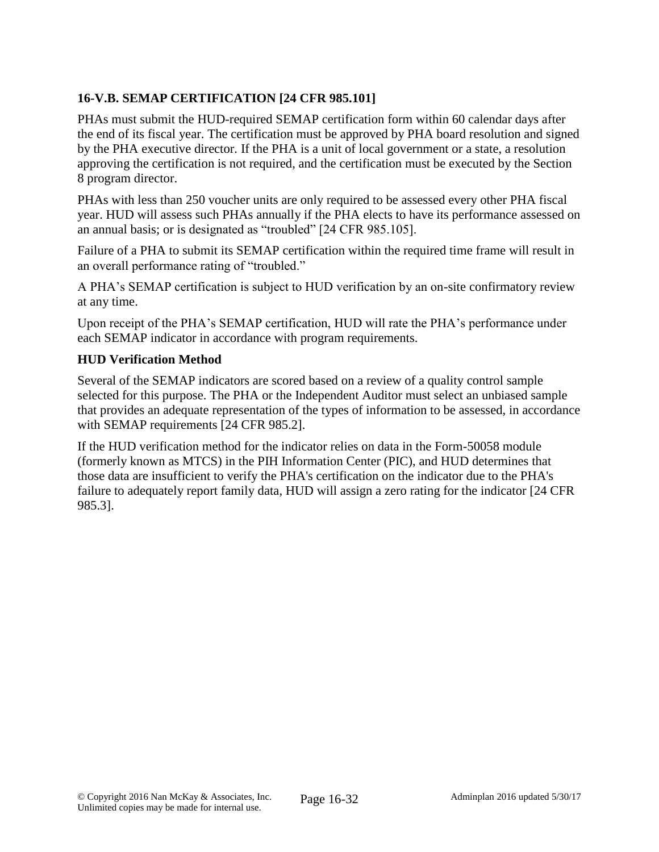# **16-V.B. SEMAP CERTIFICATION [24 CFR 985.101]**

PHAs must submit the HUD-required SEMAP certification form within 60 calendar days after the end of its fiscal year. The certification must be approved by PHA board resolution and signed by the PHA executive director. If the PHA is a unit of local government or a state, a resolution approving the certification is not required, and the certification must be executed by the Section 8 program director.

PHAs with less than 250 voucher units are only required to be assessed every other PHA fiscal year. HUD will assess such PHAs annually if the PHA elects to have its performance assessed on an annual basis; or is designated as "troubled" [24 CFR 985.105].

Failure of a PHA to submit its SEMAP certification within the required time frame will result in an overall performance rating of "troubled."

A PHA's SEMAP certification is subject to HUD verification by an on-site confirmatory review at any time.

Upon receipt of the PHA's SEMAP certification, HUD will rate the PHA's performance under each SEMAP indicator in accordance with program requirements.

## **HUD Verification Method**

Several of the SEMAP indicators are scored based on a review of a quality control sample selected for this purpose. The PHA or the Independent Auditor must select an unbiased sample that provides an adequate representation of the types of information to be assessed, in accordance with SEMAP requirements [24 CFR 985.2].

If the HUD verification method for the indicator relies on data in the Form-50058 module (formerly known as MTCS) in the PIH Information Center (PIC), and HUD determines that those data are insufficient to verify the PHA's certification on the indicator due to the PHA's failure to adequately report family data, HUD will assign a zero rating for the indicator [24 CFR 985.3].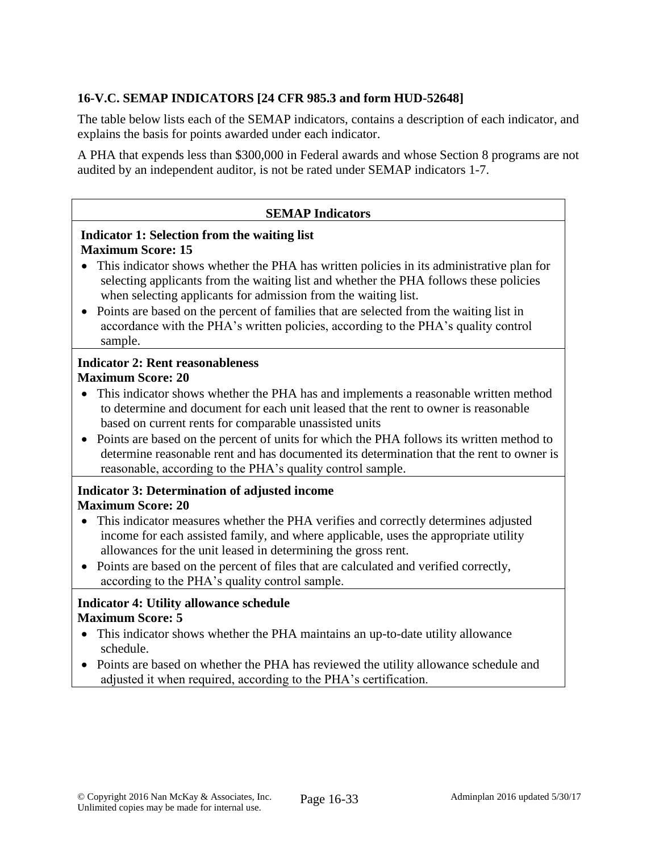# **16-V.C. SEMAP INDICATORS [24 CFR 985.3 and form HUD-52648]**

The table below lists each of the SEMAP indicators, contains a description of each indicator, and explains the basis for points awarded under each indicator.

A PHA that expends less than \$300,000 in Federal awards and whose Section 8 programs are not audited by an independent auditor, is not be rated under SEMAP indicators 1-7.

### **SEMAP Indicators**

### **Indicator 1: Selection from the waiting list Maximum Score: 15**

- This indicator shows whether the PHA has written policies in its administrative plan for selecting applicants from the waiting list and whether the PHA follows these policies when selecting applicants for admission from the waiting list.
- Points are based on the percent of families that are selected from the waiting list in accordance with the PHA's written policies, according to the PHA's quality control sample.

### **Indicator 2: Rent reasonableness Maximum Score: 20**

- This indicator shows whether the PHA has and implements a reasonable written method to determine and document for each unit leased that the rent to owner is reasonable based on current rents for comparable unassisted units
- Points are based on the percent of units for which the PHA follows its written method to determine reasonable rent and has documented its determination that the rent to owner is reasonable, according to the PHA's quality control sample.

## **Indicator 3: Determination of adjusted income Maximum Score: 20**

- This indicator measures whether the PHA verifies and correctly determines adjusted income for each assisted family, and where applicable, uses the appropriate utility allowances for the unit leased in determining the gross rent.
- Points are based on the percent of files that are calculated and verified correctly, according to the PHA's quality control sample.

## **Indicator 4: Utility allowance schedule Maximum Score: 5**

- This indicator shows whether the PHA maintains an up-to-date utility allowance schedule.
- Points are based on whether the PHA has reviewed the utility allowance schedule and adjusted it when required, according to the PHA's certification.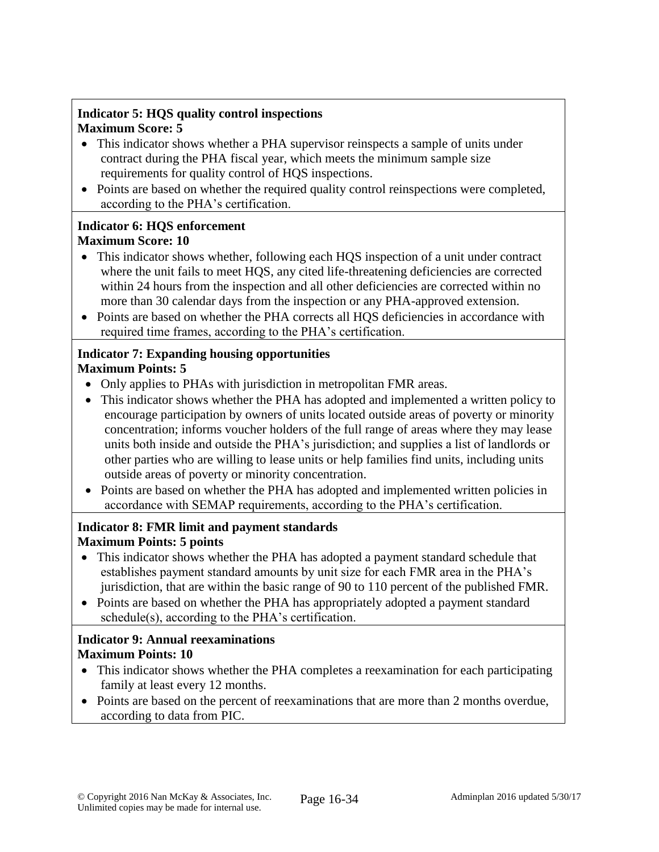## **Indicator 5: HQS quality control inspections Maximum Score: 5**

- This indicator shows whether a PHA supervisor reinspects a sample of units under contract during the PHA fiscal year, which meets the minimum sample size requirements for quality control of HQS inspections.
- Points are based on whether the required quality control reinspections were completed, according to the PHA's certification.

## **Indicator 6: HQS enforcement Maximum Score: 10**

- This indicator shows whether, following each HQS inspection of a unit under contract where the unit fails to meet HQS, any cited life-threatening deficiencies are corrected within 24 hours from the inspection and all other deficiencies are corrected within no more than 30 calendar days from the inspection or any PHA-approved extension.
- Points are based on whether the PHA corrects all HQS deficiencies in accordance with required time frames, according to the PHA's certification.

### **Indicator 7: Expanding housing opportunities Maximum Points: 5**

- Only applies to PHAs with jurisdiction in metropolitan FMR areas.
- This indicator shows whether the PHA has adopted and implemented a written policy to encourage participation by owners of units located outside areas of poverty or minority concentration; informs voucher holders of the full range of areas where they may lease units both inside and outside the PHA's jurisdiction; and supplies a list of landlords or other parties who are willing to lease units or help families find units, including units outside areas of poverty or minority concentration.
- Points are based on whether the PHA has adopted and implemented written policies in accordance with SEMAP requirements, according to the PHA's certification.

## **Indicator 8: FMR limit and payment standards Maximum Points: 5 points**

- This indicator shows whether the PHA has adopted a payment standard schedule that establishes payment standard amounts by unit size for each FMR area in the PHA's jurisdiction, that are within the basic range of 90 to 110 percent of the published FMR.
- Points are based on whether the PHA has appropriately adopted a payment standard schedule(s), according to the PHA's certification.

# **Indicator 9: Annual reexaminations Maximum Points: 10**

- This indicator shows whether the PHA completes a reexamination for each participating family at least every 12 months.
- Points are based on the percent of reexaminations that are more than 2 months overdue, according to data from PIC.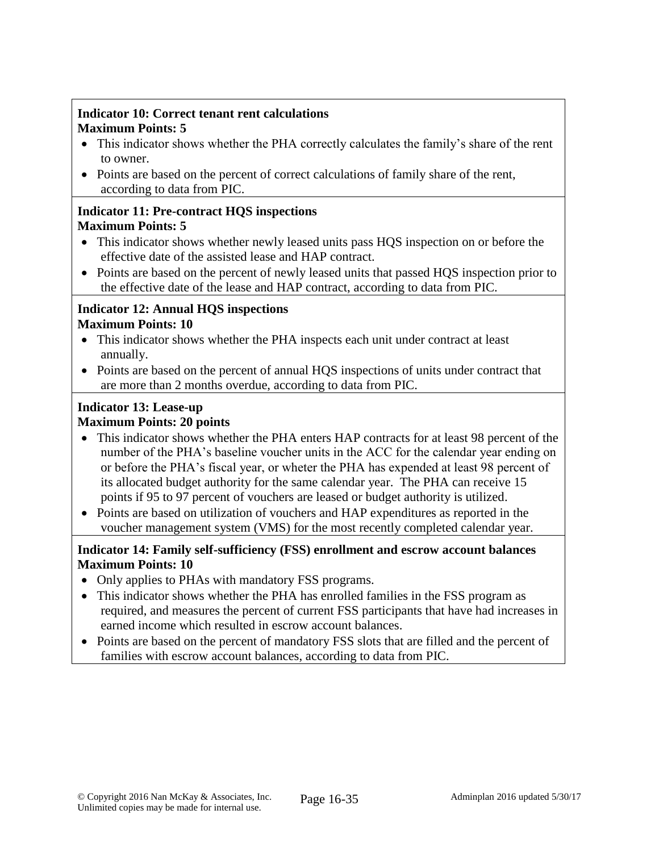## **Indicator 10: Correct tenant rent calculations Maximum Points: 5**

- This indicator shows whether the PHA correctly calculates the family's share of the rent to owner.
- Points are based on the percent of correct calculations of family share of the rent, according to data from PIC.

### **Indicator 11: Pre-contract HQS inspections Maximum Points: 5**

- This indicator shows whether newly leased units pass HQS inspection on or before the effective date of the assisted lease and HAP contract.
- Points are based on the percent of newly leased units that passed HQS inspection prior to the effective date of the lease and HAP contract, according to data from PIC.

## **Indicator 12: Annual HQS inspections Maximum Points: 10**

- This indicator shows whether the PHA inspects each unit under contract at least annually.
- Points are based on the percent of annual HQS inspections of units under contract that are more than 2 months overdue, according to data from PIC.

### **Indicator 13: Lease-up Maximum Points: 20 points**

- This indicator shows whether the PHA enters HAP contracts for at least 98 percent of the number of the PHA's baseline voucher units in the ACC for the calendar year ending on or before the PHA's fiscal year, or wheter the PHA has expended at least 98 percent of its allocated budget authority for the same calendar year. The PHA can receive 15 points if 95 to 97 percent of vouchers are leased or budget authority is utilized.
- Points are based on utilization of vouchers and HAP expenditures as reported in the voucher management system (VMS) for the most recently completed calendar year.

## **Indicator 14: Family self-sufficiency (FSS) enrollment and escrow account balances Maximum Points: 10**

- Only applies to PHAs with mandatory FSS programs.
- This indicator shows whether the PHA has enrolled families in the FSS program as required, and measures the percent of current FSS participants that have had increases in earned income which resulted in escrow account balances.
- Points are based on the percent of mandatory FSS slots that are filled and the percent of families with escrow account balances, according to data from PIC.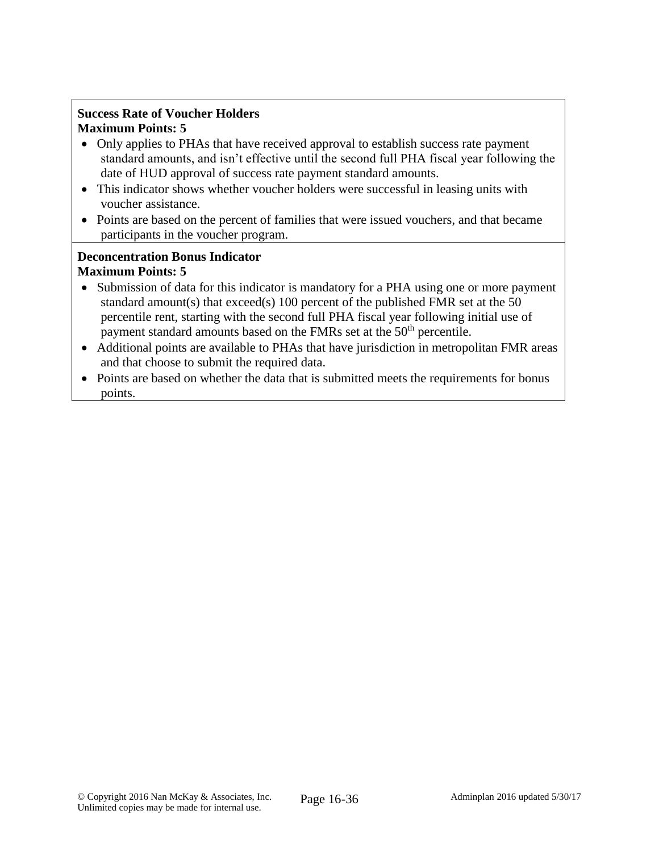## **Success Rate of Voucher Holders Maximum Points: 5**

- Only applies to PHAs that have received approval to establish success rate payment standard amounts, and isn't effective until the second full PHA fiscal year following the date of HUD approval of success rate payment standard amounts.
- This indicator shows whether voucher holders were successful in leasing units with voucher assistance.
- Points are based on the percent of families that were issued vouchers, and that became participants in the voucher program.

### **Deconcentration Bonus Indicator Maximum Points: 5**

- Submission of data for this indicator is mandatory for a PHA using one or more payment standard amount(s) that exceed(s) 100 percent of the published FMR set at the 50 percentile rent, starting with the second full PHA fiscal year following initial use of payment standard amounts based on the FMRs set at the 50<sup>th</sup> percentile.
- Additional points are available to PHAs that have jurisdiction in metropolitan FMR areas and that choose to submit the required data.
- Points are based on whether the data that is submitted meets the requirements for bonus points.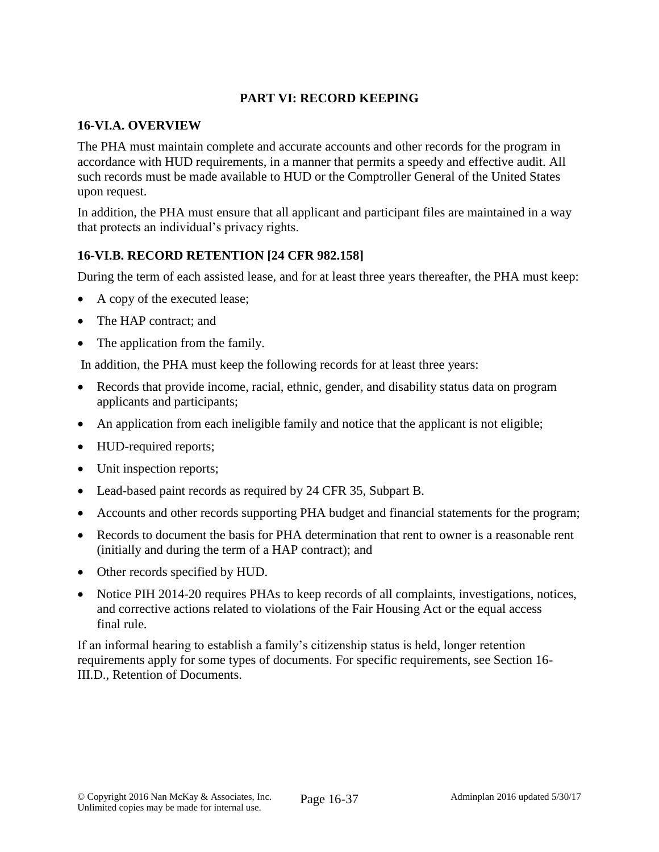## **PART VI: RECORD KEEPING**

### **16-VI.A. OVERVIEW**

The PHA must maintain complete and accurate accounts and other records for the program in accordance with HUD requirements, in a manner that permits a speedy and effective audit. All such records must be made available to HUD or the Comptroller General of the United States upon request.

In addition, the PHA must ensure that all applicant and participant files are maintained in a way that protects an individual's privacy rights.

## **16-VI.B. RECORD RETENTION [24 CFR 982.158]**

During the term of each assisted lease, and for at least three years thereafter, the PHA must keep:

- A copy of the executed lease;
- The HAP contract; and
- The application from the family.

In addition, the PHA must keep the following records for at least three years:

- Records that provide income, racial, ethnic, gender, and disability status data on program applicants and participants;
- An application from each ineligible family and notice that the applicant is not eligible;
- HUD-required reports;
- Unit inspection reports;
- Lead-based paint records as required by 24 CFR 35, Subpart B.
- Accounts and other records supporting PHA budget and financial statements for the program;
- Records to document the basis for PHA determination that rent to owner is a reasonable rent (initially and during the term of a HAP contract); and
- Other records specified by HUD.
- Notice PIH 2014-20 requires PHAs to keep records of all complaints, investigations, notices, and corrective actions related to violations of the Fair Housing Act or the equal access final rule.

If an informal hearing to establish a family's citizenship status is held, longer retention requirements apply for some types of documents. For specific requirements, see Section 16- III.D., Retention of Documents.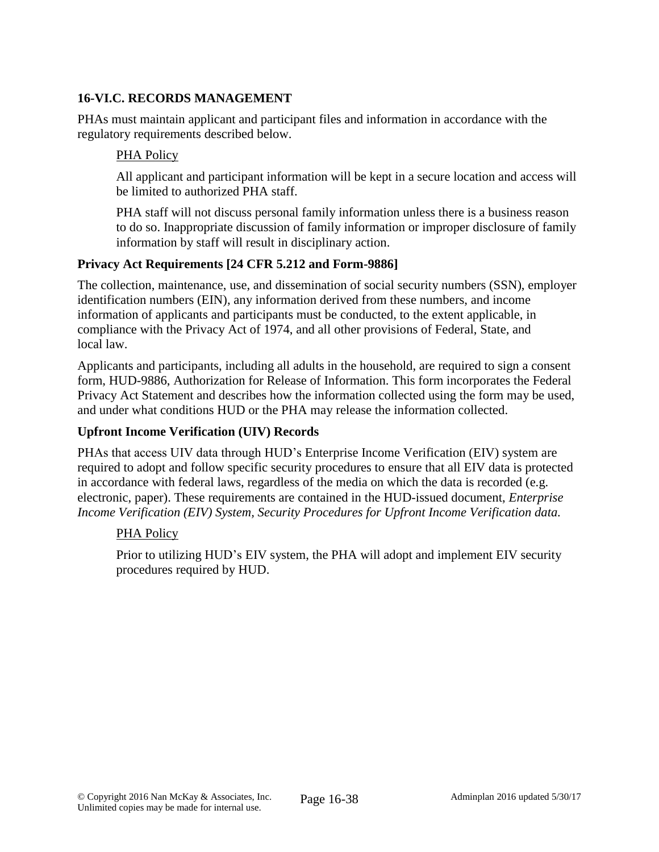## **16-VI.C. RECORDS MANAGEMENT**

PHAs must maintain applicant and participant files and information in accordance with the regulatory requirements described below.

### PHA Policy

All applicant and participant information will be kept in a secure location and access will be limited to authorized PHA staff.

PHA staff will not discuss personal family information unless there is a business reason to do so. Inappropriate discussion of family information or improper disclosure of family information by staff will result in disciplinary action.

## **Privacy Act Requirements [24 CFR 5.212 and Form-9886]**

The collection, maintenance, use, and dissemination of social security numbers (SSN), employer identification numbers (EIN), any information derived from these numbers, and income information of applicants and participants must be conducted, to the extent applicable, in compliance with the Privacy Act of 1974, and all other provisions of Federal, State, and local law.

Applicants and participants, including all adults in the household, are required to sign a consent form, HUD-9886, Authorization for Release of Information. This form incorporates the Federal Privacy Act Statement and describes how the information collected using the form may be used, and under what conditions HUD or the PHA may release the information collected.

### **Upfront Income Verification (UIV) Records**

PHAs that access UIV data through HUD's Enterprise Income Verification (EIV) system are required to adopt and follow specific security procedures to ensure that all EIV data is protected in accordance with federal laws, regardless of the media on which the data is recorded (e.g. electronic, paper). These requirements are contained in the HUD-issued document, *Enterprise Income Verification (EIV) System, Security Procedures for Upfront Income Verification data.*

### PHA Policy

Prior to utilizing HUD's EIV system, the PHA will adopt and implement EIV security procedures required by HUD.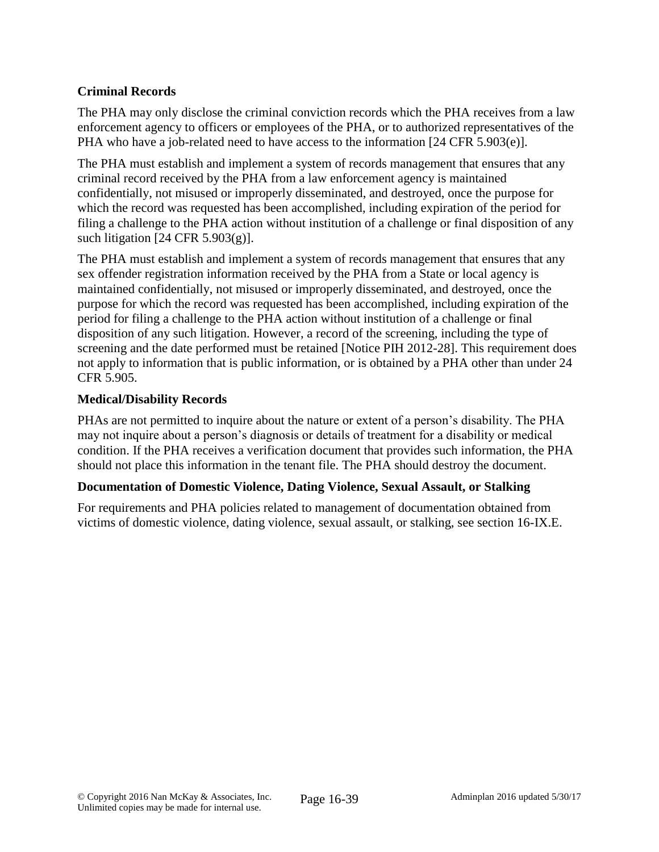## **Criminal Records**

The PHA may only disclose the criminal conviction records which the PHA receives from a law enforcement agency to officers or employees of the PHA, or to authorized representatives of the PHA who have a job-related need to have access to the information [24 CFR 5.903(e)].

The PHA must establish and implement a system of records management that ensures that any criminal record received by the PHA from a law enforcement agency is maintained confidentially, not misused or improperly disseminated, and destroyed, once the purpose for which the record was requested has been accomplished, including expiration of the period for filing a challenge to the PHA action without institution of a challenge or final disposition of any such litigation  $[24 \text{ CFR } 5.903(g)]$ .

The PHA must establish and implement a system of records management that ensures that any sex offender registration information received by the PHA from a State or local agency is maintained confidentially, not misused or improperly disseminated, and destroyed, once the purpose for which the record was requested has been accomplished, including expiration of the period for filing a challenge to the PHA action without institution of a challenge or final disposition of any such litigation. However, a record of the screening, including the type of screening and the date performed must be retained [Notice PIH 2012-28]. This requirement does not apply to information that is public information, or is obtained by a PHA other than under 24 CFR 5.905.

## **Medical/Disability Records**

PHAs are not permitted to inquire about the nature or extent of a person's disability. The PHA may not inquire about a person's diagnosis or details of treatment for a disability or medical condition. If the PHA receives a verification document that provides such information, the PHA should not place this information in the tenant file. The PHA should destroy the document.

## **Documentation of Domestic Violence, Dating Violence, Sexual Assault, or Stalking**

For requirements and PHA policies related to management of documentation obtained from victims of domestic violence, dating violence, sexual assault, or stalking, see section 16-IX.E.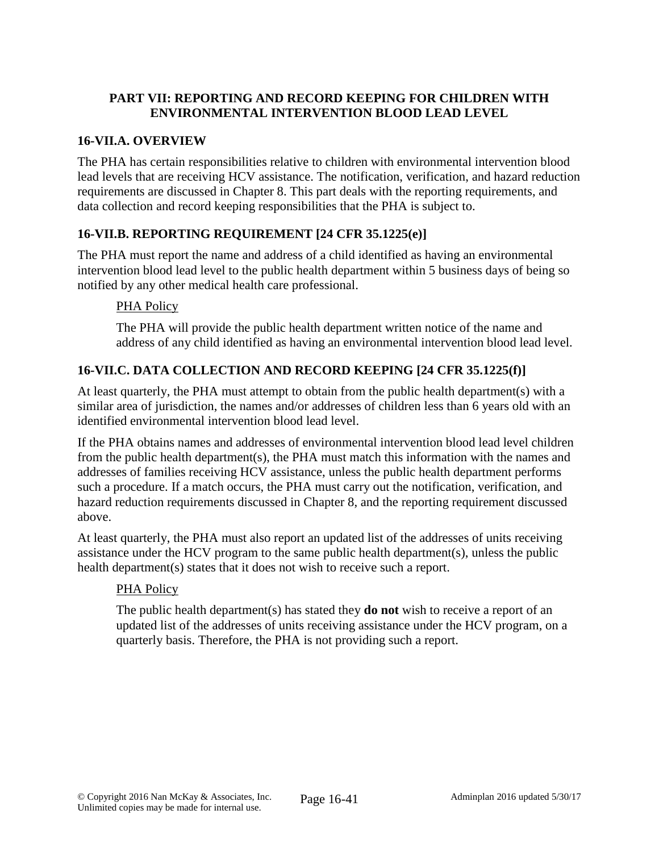## **PART VII: REPORTING AND RECORD KEEPING FOR CHILDREN WITH ENVIRONMENTAL INTERVENTION BLOOD LEAD LEVEL**

## **16-VII.A. OVERVIEW**

The PHA has certain responsibilities relative to children with environmental intervention blood lead levels that are receiving HCV assistance. The notification, verification, and hazard reduction requirements are discussed in Chapter 8. This part deals with the reporting requirements, and data collection and record keeping responsibilities that the PHA is subject to.

## **16-VII.B. REPORTING REQUIREMENT [24 CFR 35.1225(e)]**

The PHA must report the name and address of a child identified as having an environmental intervention blood lead level to the public health department within 5 business days of being so notified by any other medical health care professional.

## PHA Policy

The PHA will provide the public health department written notice of the name and address of any child identified as having an environmental intervention blood lead level.

# **16-VII.C. DATA COLLECTION AND RECORD KEEPING [24 CFR 35.1225(f)]**

At least quarterly, the PHA must attempt to obtain from the public health department(s) with a similar area of jurisdiction, the names and/or addresses of children less than 6 years old with an identified environmental intervention blood lead level.

If the PHA obtains names and addresses of environmental intervention blood lead level children from the public health department(s), the PHA must match this information with the names and addresses of families receiving HCV assistance, unless the public health department performs such a procedure. If a match occurs, the PHA must carry out the notification, verification, and hazard reduction requirements discussed in Chapter 8, and the reporting requirement discussed above.

At least quarterly, the PHA must also report an updated list of the addresses of units receiving assistance under the HCV program to the same public health department(s), unless the public health department(s) states that it does not wish to receive such a report.

## PHA Policy

The public health department(s) has stated they **do not** wish to receive a report of an updated list of the addresses of units receiving assistance under the HCV program, on a quarterly basis. Therefore, the PHA is not providing such a report.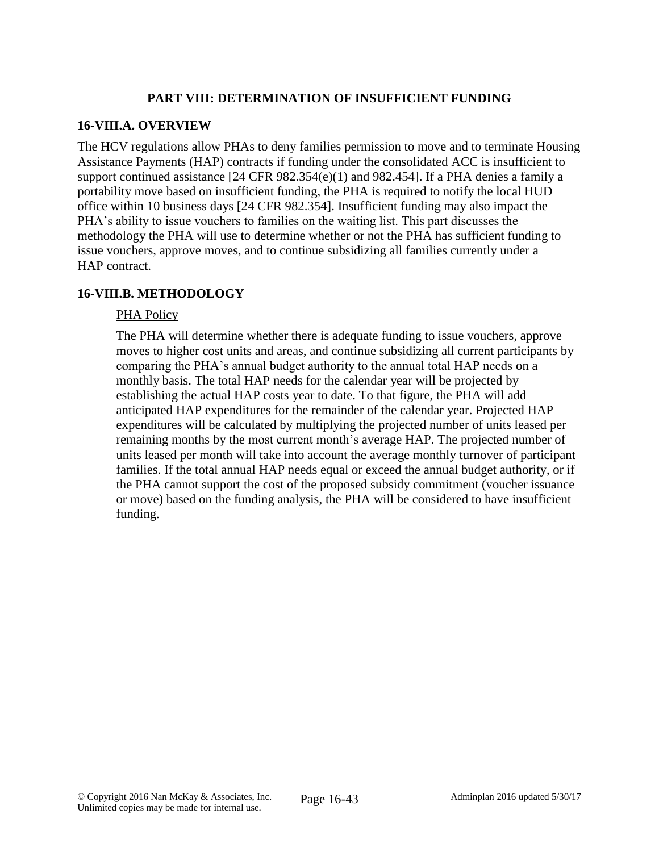## **PART VIII: DETERMINATION OF INSUFFICIENT FUNDING**

### **16-VIII.A. OVERVIEW**

The HCV regulations allow PHAs to deny families permission to move and to terminate Housing Assistance Payments (HAP) contracts if funding under the consolidated ACC is insufficient to support continued assistance [24 CFR 982.354(e)(1) and 982.454]. If a PHA denies a family a portability move based on insufficient funding, the PHA is required to notify the local HUD office within 10 business days [24 CFR 982.354]. Insufficient funding may also impact the PHA's ability to issue vouchers to families on the waiting list. This part discusses the methodology the PHA will use to determine whether or not the PHA has sufficient funding to issue vouchers, approve moves, and to continue subsidizing all families currently under a HAP contract.

## **16-VIII.B. METHODOLOGY**

### PHA Policy

The PHA will determine whether there is adequate funding to issue vouchers, approve moves to higher cost units and areas, and continue subsidizing all current participants by comparing the PHA's annual budget authority to the annual total HAP needs on a monthly basis. The total HAP needs for the calendar year will be projected by establishing the actual HAP costs year to date. To that figure, the PHA will add anticipated HAP expenditures for the remainder of the calendar year. Projected HAP expenditures will be calculated by multiplying the projected number of units leased per remaining months by the most current month's average HAP. The projected number of units leased per month will take into account the average monthly turnover of participant families. If the total annual HAP needs equal or exceed the annual budget authority, or if the PHA cannot support the cost of the proposed subsidy commitment (voucher issuance or move) based on the funding analysis, the PHA will be considered to have insufficient funding.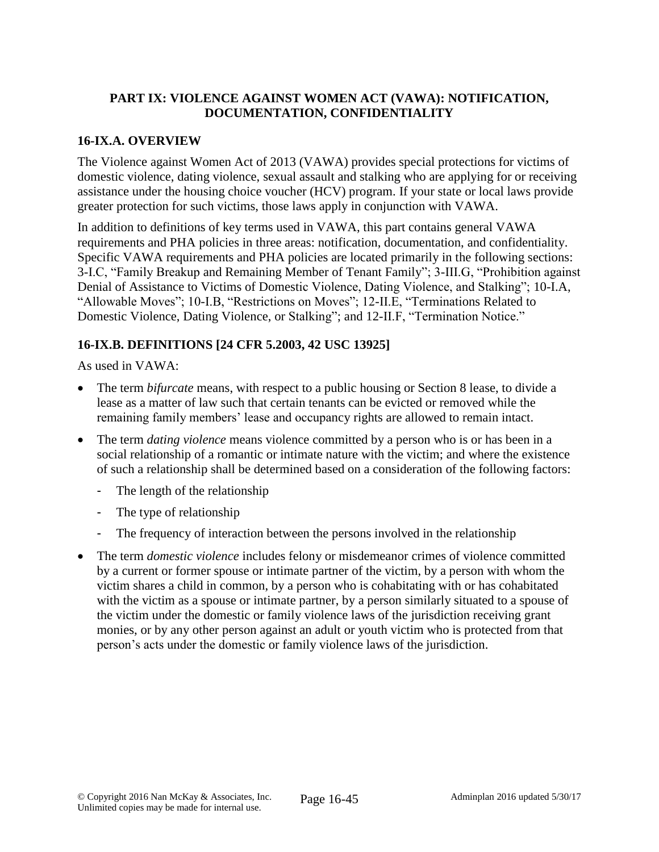## **PART IX: VIOLENCE AGAINST WOMEN ACT (VAWA): NOTIFICATION, DOCUMENTATION, CONFIDENTIALITY**

## **16-IX.A. OVERVIEW**

The Violence against Women Act of 2013 (VAWA) provides special protections for victims of domestic violence, dating violence, sexual assault and stalking who are applying for or receiving assistance under the housing choice voucher (HCV) program. If your state or local laws provide greater protection for such victims, those laws apply in conjunction with VAWA.

In addition to definitions of key terms used in VAWA, this part contains general VAWA requirements and PHA policies in three areas: notification, documentation, and confidentiality. Specific VAWA requirements and PHA policies are located primarily in the following sections: 3-I.C, "Family Breakup and Remaining Member of Tenant Family"; 3-III.G, "Prohibition against Denial of Assistance to Victims of Domestic Violence, Dating Violence, and Stalking"; 10-I.A, "Allowable Moves"; 10-I.B, "Restrictions on Moves"; 12-II.E, "Terminations Related to Domestic Violence, Dating Violence, or Stalking"; and 12-II.F, "Termination Notice."

## **16-IX.B. DEFINITIONS [24 CFR 5.2003, 42 USC 13925]**

As used in VAWA:

- The term *bifurcate* means, with respect to a public housing or Section 8 lease, to divide a lease as a matter of law such that certain tenants can be evicted or removed while the remaining family members' lease and occupancy rights are allowed to remain intact.
- The term *dating violence* means violence committed by a person who is or has been in a social relationship of a romantic or intimate nature with the victim; and where the existence of such a relationship shall be determined based on a consideration of the following factors:
	- The length of the relationship
	- The type of relationship
	- The frequency of interaction between the persons involved in the relationship
- The term *domestic violence* includes felony or misdemeanor crimes of violence committed by a current or former spouse or intimate partner of the victim, by a person with whom the victim shares a child in common, by a person who is cohabitating with or has cohabitated with the victim as a spouse or intimate partner, by a person similarly situated to a spouse of the victim under the domestic or family violence laws of the jurisdiction receiving grant monies, or by any other person against an adult or youth victim who is protected from that person's acts under the domestic or family violence laws of the jurisdiction.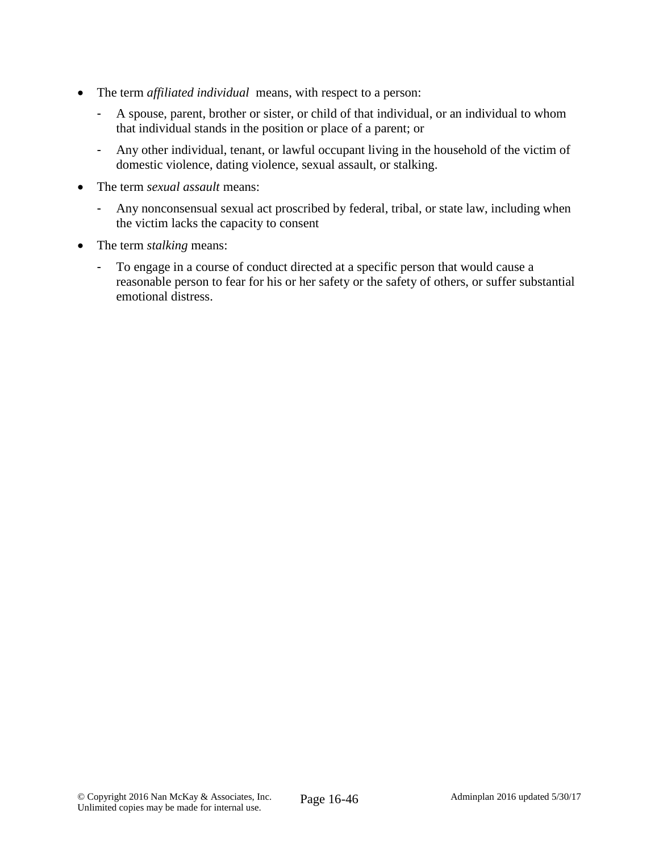- The term *affiliated individual* means, with respect to a person:
	- A spouse, parent, brother or sister, or child of that individual, or an individual to whom that individual stands in the position or place of a parent; or
	- Any other individual, tenant, or lawful occupant living in the household of the victim of domestic violence, dating violence, sexual assault, or stalking.
- The term *sexual assault* means:
	- Any nonconsensual sexual act proscribed by federal, tribal, or state law, including when the victim lacks the capacity to consent
- The term *stalking* means:
	- To engage in a course of conduct directed at a specific person that would cause a reasonable person to fear for his or her safety or the safety of others, or suffer substantial emotional distress.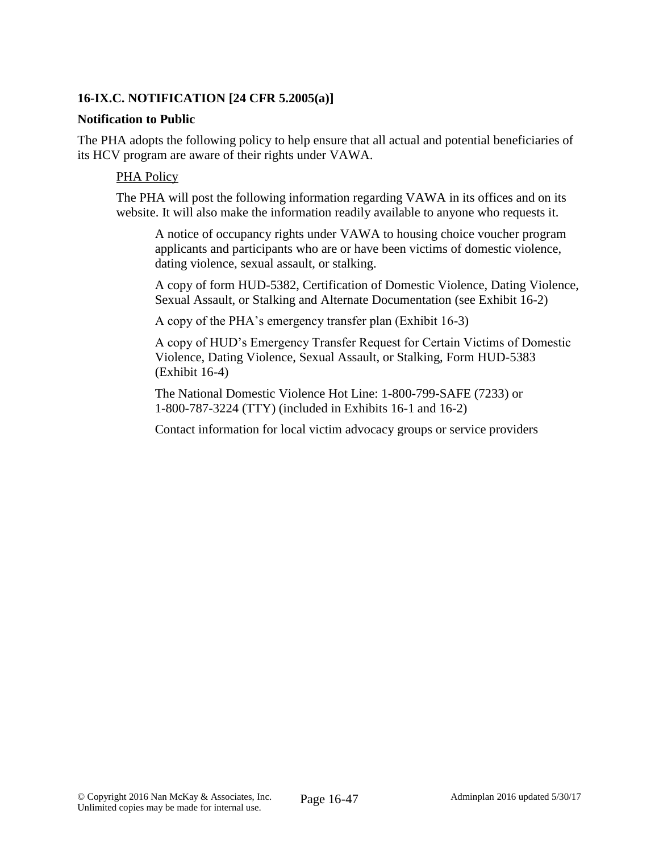## **16-IX.C. NOTIFICATION [24 CFR 5.2005(a)]**

### **Notification to Public**

The PHA adopts the following policy to help ensure that all actual and potential beneficiaries of its HCV program are aware of their rights under VAWA.

### PHA Policy

The PHA will post the following information regarding VAWA in its offices and on its website. It will also make the information readily available to anyone who requests it.

A notice of occupancy rights under VAWA to housing choice voucher program applicants and participants who are or have been victims of domestic violence, dating violence, sexual assault, or stalking.

A copy of form HUD-5382, Certification of Domestic Violence, Dating Violence, Sexual Assault, or Stalking and Alternate Documentation (see Exhibit 16-2)

A copy of the PHA's emergency transfer plan (Exhibit 16-3)

A copy of HUD's Emergency Transfer Request for Certain Victims of Domestic Violence, Dating Violence, Sexual Assault, or Stalking, Form HUD-5383 (Exhibit 16-4)

The National Domestic Violence Hot Line: 1-800-799-SAFE (7233) or 1-800-787-3224 (TTY) (included in Exhibits 16-1 and 16-2)

Contact information for local victim advocacy groups or service providers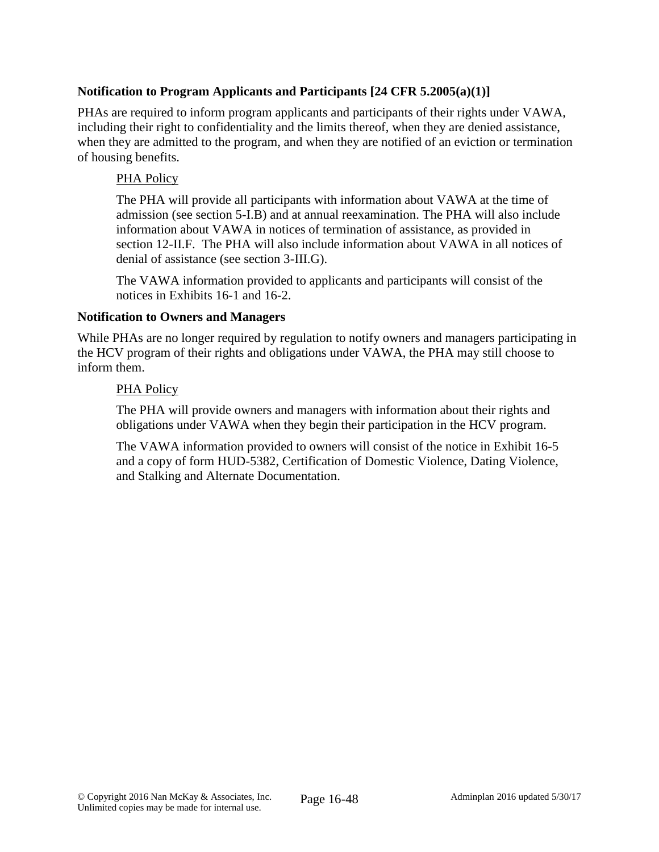## **Notification to Program Applicants and Participants [24 CFR 5.2005(a)(1)]**

PHAs are required to inform program applicants and participants of their rights under VAWA, including their right to confidentiality and the limits thereof, when they are denied assistance, when they are admitted to the program, and when they are notified of an eviction or termination of housing benefits.

### PHA Policy

The PHA will provide all participants with information about VAWA at the time of admission (see section 5-I.B) and at annual reexamination. The PHA will also include information about VAWA in notices of termination of assistance, as provided in section 12-II.F. The PHA will also include information about VAWA in all notices of denial of assistance (see section 3-III.G).

The VAWA information provided to applicants and participants will consist of the notices in Exhibits 16-1 and 16-2.

### **Notification to Owners and Managers**

While PHAs are no longer required by regulation to notify owners and managers participating in the HCV program of their rights and obligations under VAWA, the PHA may still choose to inform them.

### PHA Policy

The PHA will provide owners and managers with information about their rights and obligations under VAWA when they begin their participation in the HCV program.

The VAWA information provided to owners will consist of the notice in Exhibit 16-5 and a copy of form HUD-5382, Certification of Domestic Violence, Dating Violence, and Stalking and Alternate Documentation.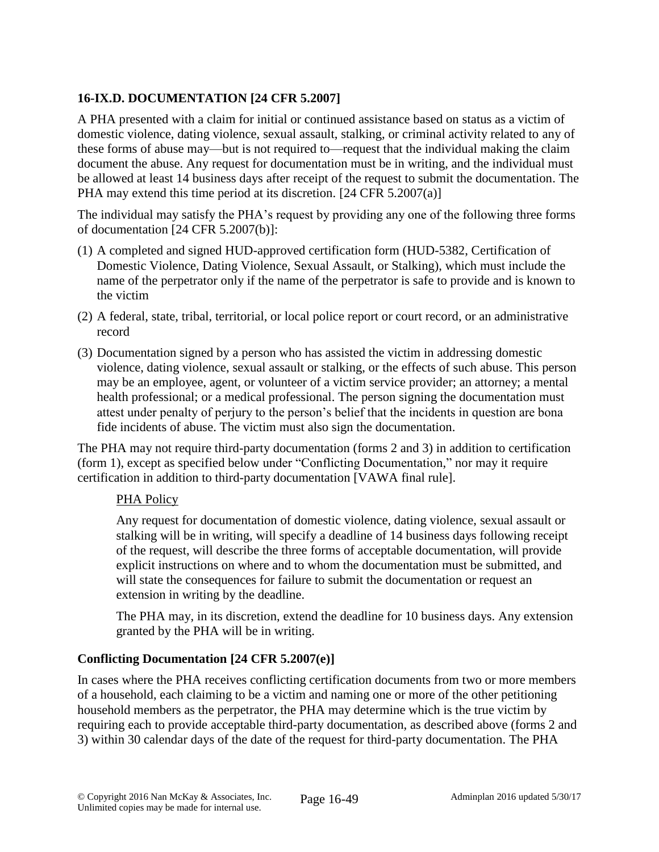# **16-IX.D. DOCUMENTATION [24 CFR 5.2007]**

A PHA presented with a claim for initial or continued assistance based on status as a victim of domestic violence, dating violence, sexual assault, stalking, or criminal activity related to any of these forms of abuse may—but is not required to—request that the individual making the claim document the abuse. Any request for documentation must be in writing, and the individual must be allowed at least 14 business days after receipt of the request to submit the documentation. The PHA may extend this time period at its discretion. [24 CFR 5.2007(a)]

The individual may satisfy the PHA's request by providing any one of the following three forms of documentation [24 CFR 5.2007(b)]:

- (1) A completed and signed HUD-approved certification form (HUD-5382, Certification of Domestic Violence, Dating Violence, Sexual Assault, or Stalking), which must include the name of the perpetrator only if the name of the perpetrator is safe to provide and is known to the victim
- (2) A federal, state, tribal, territorial, or local police report or court record, or an administrative record
- (3) Documentation signed by a person who has assisted the victim in addressing domestic violence, dating violence, sexual assault or stalking, or the effects of such abuse. This person may be an employee, agent, or volunteer of a victim service provider; an attorney; a mental health professional; or a medical professional. The person signing the documentation must attest under penalty of perjury to the person's belief that the incidents in question are bona fide incidents of abuse. The victim must also sign the documentation.

The PHA may not require third-party documentation (forms 2 and 3) in addition to certification (form 1), except as specified below under "Conflicting Documentation," nor may it require certification in addition to third-party documentation [VAWA final rule].

## PHA Policy

Any request for documentation of domestic violence, dating violence, sexual assault or stalking will be in writing, will specify a deadline of 14 business days following receipt of the request, will describe the three forms of acceptable documentation, will provide explicit instructions on where and to whom the documentation must be submitted, and will state the consequences for failure to submit the documentation or request an extension in writing by the deadline.

The PHA may, in its discretion, extend the deadline for 10 business days. Any extension granted by the PHA will be in writing.

## **Conflicting Documentation [24 CFR 5.2007(e)]**

In cases where the PHA receives conflicting certification documents from two or more members of a household, each claiming to be a victim and naming one or more of the other petitioning household members as the perpetrator, the PHA may determine which is the true victim by requiring each to provide acceptable third-party documentation, as described above (forms 2 and 3) within 30 calendar days of the date of the request for third-party documentation. The PHA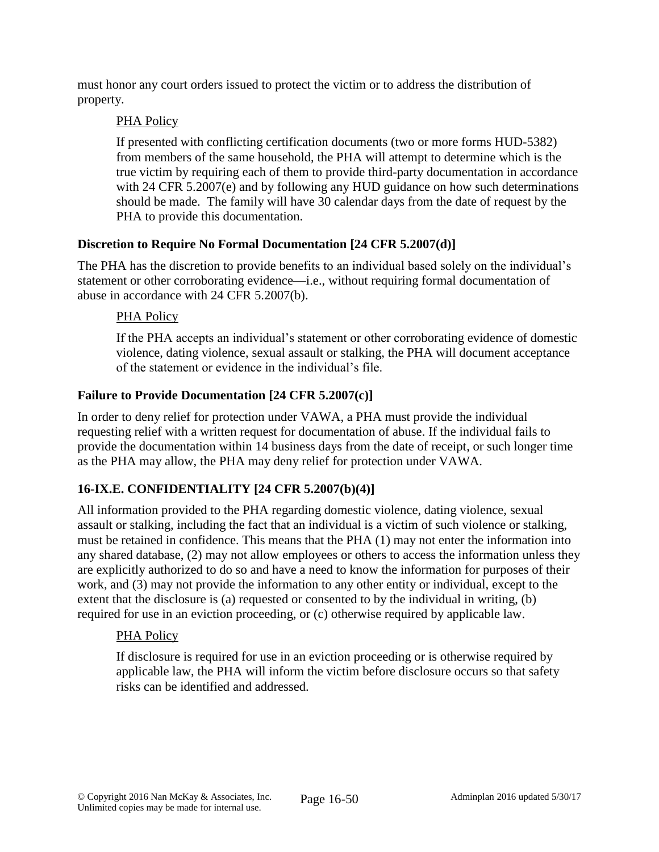must honor any court orders issued to protect the victim or to address the distribution of property.

## PHA Policy

If presented with conflicting certification documents (two or more forms HUD-5382) from members of the same household, the PHA will attempt to determine which is the true victim by requiring each of them to provide third-party documentation in accordance with 24 CFR 5.2007(e) and by following any HUD guidance on how such determinations should be made. The family will have 30 calendar days from the date of request by the PHA to provide this documentation.

## **Discretion to Require No Formal Documentation [24 CFR 5.2007(d)]**

The PHA has the discretion to provide benefits to an individual based solely on the individual's statement or other corroborating evidence—i.e., without requiring formal documentation of abuse in accordance with 24 CFR 5.2007(b).

# PHA Policy

If the PHA accepts an individual's statement or other corroborating evidence of domestic violence, dating violence, sexual assault or stalking, the PHA will document acceptance of the statement or evidence in the individual's file.

# **Failure to Provide Documentation [24 CFR 5.2007(c)]**

In order to deny relief for protection under VAWA, a PHA must provide the individual requesting relief with a written request for documentation of abuse. If the individual fails to provide the documentation within 14 business days from the date of receipt, or such longer time as the PHA may allow, the PHA may deny relief for protection under VAWA.

# **16-IX.E. CONFIDENTIALITY [24 CFR 5.2007(b)(4)]**

All information provided to the PHA regarding domestic violence, dating violence, sexual assault or stalking, including the fact that an individual is a victim of such violence or stalking, must be retained in confidence. This means that the PHA (1) may not enter the information into any shared database, (2) may not allow employees or others to access the information unless they are explicitly authorized to do so and have a need to know the information for purposes of their work, and (3) may not provide the information to any other entity or individual, except to the extent that the disclosure is (a) requested or consented to by the individual in writing, (b) required for use in an eviction proceeding, or (c) otherwise required by applicable law.

## PHA Policy

If disclosure is required for use in an eviction proceeding or is otherwise required by applicable law, the PHA will inform the victim before disclosure occurs so that safety risks can be identified and addressed.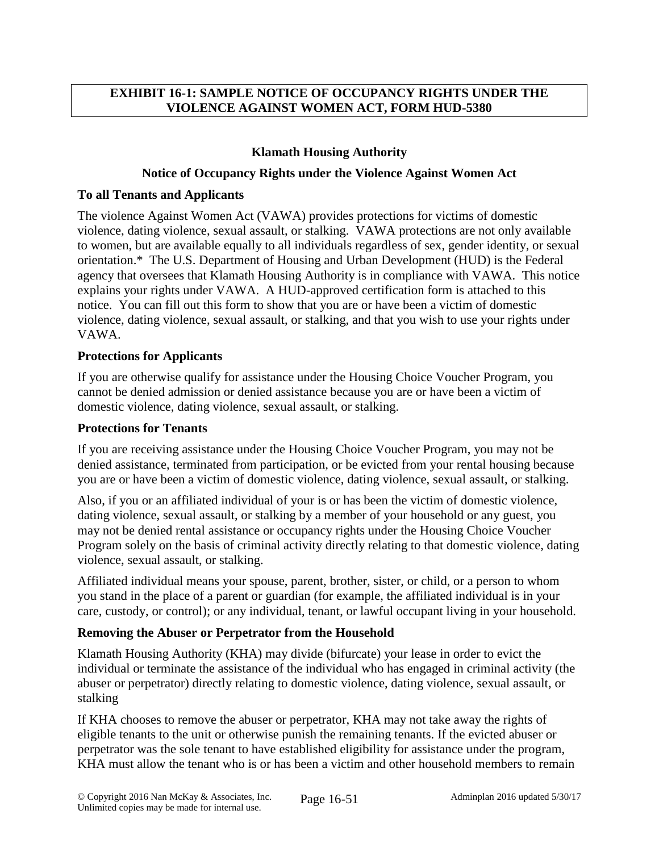## **EXHIBIT 16-1: SAMPLE NOTICE OF OCCUPANCY RIGHTS UNDER THE VIOLENCE AGAINST WOMEN ACT, FORM HUD-5380**

## **Klamath Housing Authority**

### **Notice of Occupancy Rights under the Violence Against Women Act**

### **To all Tenants and Applicants**

The violence Against Women Act (VAWA) provides protections for victims of domestic violence, dating violence, sexual assault, or stalking. VAWA protections are not only available to women, but are available equally to all individuals regardless of sex, gender identity, or sexual orientation.\* The U.S. Department of Housing and Urban Development (HUD) is the Federal agency that oversees that Klamath Housing Authority is in compliance with VAWA. This notice explains your rights under VAWA. A HUD-approved certification form is attached to this notice. You can fill out this form to show that you are or have been a victim of domestic violence, dating violence, sexual assault, or stalking, and that you wish to use your rights under VAWA.

### **Protections for Applicants**

If you are otherwise qualify for assistance under the Housing Choice Voucher Program, you cannot be denied admission or denied assistance because you are or have been a victim of domestic violence, dating violence, sexual assault, or stalking.

### **Protections for Tenants**

If you are receiving assistance under the Housing Choice Voucher Program, you may not be denied assistance, terminated from participation, or be evicted from your rental housing because you are or have been a victim of domestic violence, dating violence, sexual assault, or stalking.

Also, if you or an affiliated individual of your is or has been the victim of domestic violence, dating violence, sexual assault, or stalking by a member of your household or any guest, you may not be denied rental assistance or occupancy rights under the Housing Choice Voucher Program solely on the basis of criminal activity directly relating to that domestic violence, dating violence, sexual assault, or stalking.

Affiliated individual means your spouse, parent, brother, sister, or child, or a person to whom you stand in the place of a parent or guardian (for example, the affiliated individual is in your care, custody, or control); or any individual, tenant, or lawful occupant living in your household.

## **Removing the Abuser or Perpetrator from the Household**

Klamath Housing Authority (KHA) may divide (bifurcate) your lease in order to evict the individual or terminate the assistance of the individual who has engaged in criminal activity (the abuser or perpetrator) directly relating to domestic violence, dating violence, sexual assault, or stalking

If KHA chooses to remove the abuser or perpetrator, KHA may not take away the rights of eligible tenants to the unit or otherwise punish the remaining tenants. If the evicted abuser or perpetrator was the sole tenant to have established eligibility for assistance under the program, KHA must allow the tenant who is or has been a victim and other household members to remain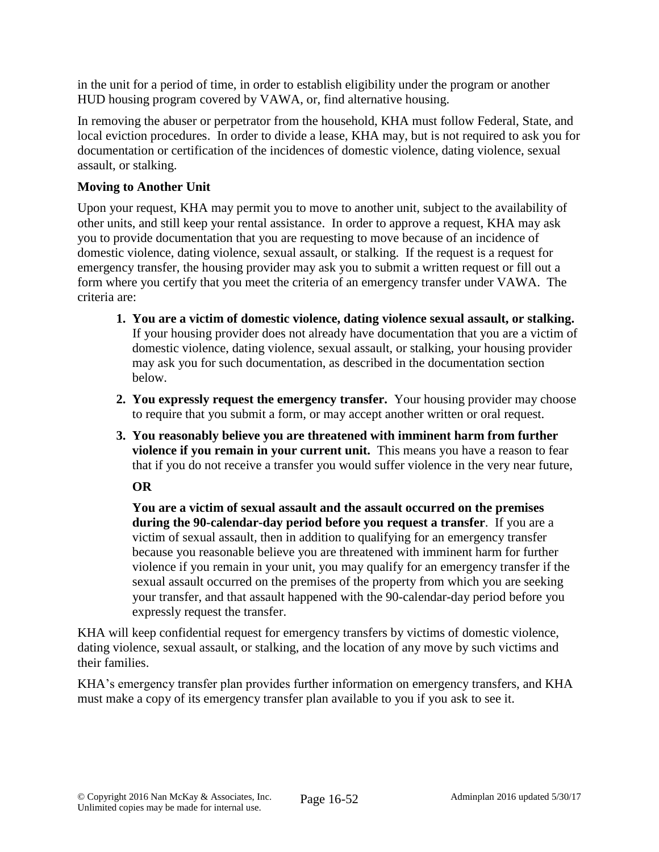in the unit for a period of time, in order to establish eligibility under the program or another HUD housing program covered by VAWA, or, find alternative housing.

In removing the abuser or perpetrator from the household, KHA must follow Federal, State, and local eviction procedures. In order to divide a lease, KHA may, but is not required to ask you for documentation or certification of the incidences of domestic violence, dating violence, sexual assault, or stalking.

## **Moving to Another Unit**

Upon your request, KHA may permit you to move to another unit, subject to the availability of other units, and still keep your rental assistance. In order to approve a request, KHA may ask you to provide documentation that you are requesting to move because of an incidence of domestic violence, dating violence, sexual assault, or stalking. If the request is a request for emergency transfer, the housing provider may ask you to submit a written request or fill out a form where you certify that you meet the criteria of an emergency transfer under VAWA. The criteria are:

- **1. You are a victim of domestic violence, dating violence sexual assault, or stalking.** If your housing provider does not already have documentation that you are a victim of domestic violence, dating violence, sexual assault, or stalking, your housing provider may ask you for such documentation, as described in the documentation section below.
- **2. You expressly request the emergency transfer.** Your housing provider may choose to require that you submit a form, or may accept another written or oral request.
- **3. You reasonably believe you are threatened with imminent harm from further violence if you remain in your current unit.** This means you have a reason to fear that if you do not receive a transfer you would suffer violence in the very near future,

**OR**

 **You are a victim of sexual assault and the assault occurred on the premises during the 90-calendar-day period before you request a transfer**. If you are a victim of sexual assault, then in addition to qualifying for an emergency transfer because you reasonable believe you are threatened with imminent harm for further violence if you remain in your unit, you may qualify for an emergency transfer if the sexual assault occurred on the premises of the property from which you are seeking your transfer, and that assault happened with the 90-calendar-day period before you expressly request the transfer.

KHA will keep confidential request for emergency transfers by victims of domestic violence, dating violence, sexual assault, or stalking, and the location of any move by such victims and their families.

KHA's emergency transfer plan provides further information on emergency transfers, and KHA must make a copy of its emergency transfer plan available to you if you ask to see it.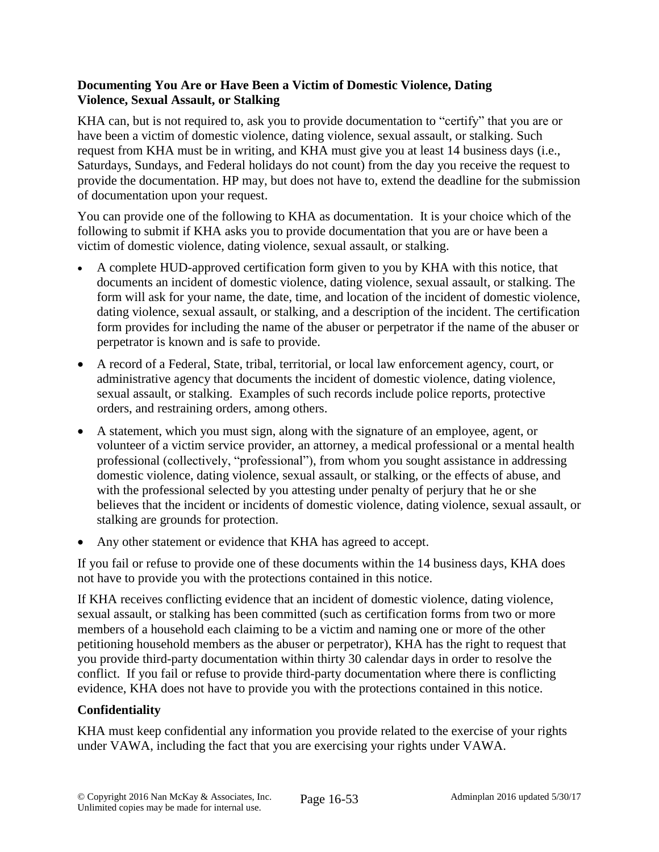## **Documenting You Are or Have Been a Victim of Domestic Violence, Dating Violence, Sexual Assault, or Stalking**

KHA can, but is not required to, ask you to provide documentation to "certify" that you are or have been a victim of domestic violence, dating violence, sexual assault, or stalking. Such request from KHA must be in writing, and KHA must give you at least 14 business days (i.e., Saturdays, Sundays, and Federal holidays do not count) from the day you receive the request to provide the documentation. HP may, but does not have to, extend the deadline for the submission of documentation upon your request.

You can provide one of the following to KHA as documentation. It is your choice which of the following to submit if KHA asks you to provide documentation that you are or have been a victim of domestic violence, dating violence, sexual assault, or stalking.

- A complete HUD-approved certification form given to you by KHA with this notice, that documents an incident of domestic violence, dating violence, sexual assault, or stalking. The form will ask for your name, the date, time, and location of the incident of domestic violence, dating violence, sexual assault, or stalking, and a description of the incident. The certification form provides for including the name of the abuser or perpetrator if the name of the abuser or perpetrator is known and is safe to provide.
- A record of a Federal, State, tribal, territorial, or local law enforcement agency, court, or administrative agency that documents the incident of domestic violence, dating violence, sexual assault, or stalking. Examples of such records include police reports, protective orders, and restraining orders, among others.
- A statement, which you must sign, along with the signature of an employee, agent, or volunteer of a victim service provider, an attorney, a medical professional or a mental health professional (collectively, "professional"), from whom you sought assistance in addressing domestic violence, dating violence, sexual assault, or stalking, or the effects of abuse, and with the professional selected by you attesting under penalty of perjury that he or she believes that the incident or incidents of domestic violence, dating violence, sexual assault, or stalking are grounds for protection.
- Any other statement or evidence that KHA has agreed to accept.

If you fail or refuse to provide one of these documents within the 14 business days, KHA does not have to provide you with the protections contained in this notice.

If KHA receives conflicting evidence that an incident of domestic violence, dating violence, sexual assault, or stalking has been committed (such as certification forms from two or more members of a household each claiming to be a victim and naming one or more of the other petitioning household members as the abuser or perpetrator), KHA has the right to request that you provide third-party documentation within thirty 30 calendar days in order to resolve the conflict. If you fail or refuse to provide third-party documentation where there is conflicting evidence, KHA does not have to provide you with the protections contained in this notice.

# **Confidentiality**

KHA must keep confidential any information you provide related to the exercise of your rights under VAWA, including the fact that you are exercising your rights under VAWA.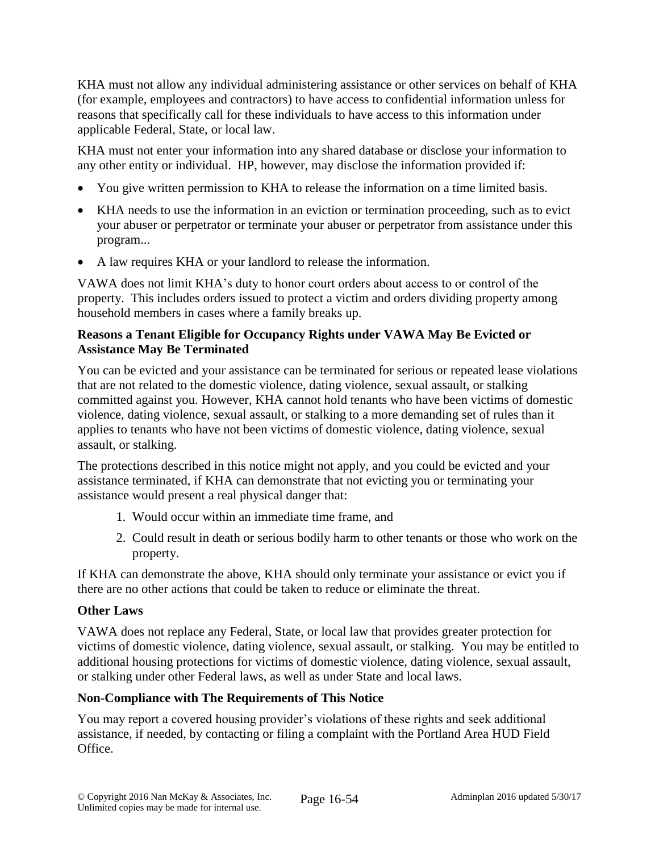KHA must not allow any individual administering assistance or other services on behalf of KHA (for example, employees and contractors) to have access to confidential information unless for reasons that specifically call for these individuals to have access to this information under applicable Federal, State, or local law.

KHA must not enter your information into any shared database or disclose your information to any other entity or individual. HP, however, may disclose the information provided if:

- You give written permission to KHA to release the information on a time limited basis.
- KHA needs to use the information in an eviction or termination proceeding, such as to evict your abuser or perpetrator or terminate your abuser or perpetrator from assistance under this program...
- A law requires KHA or your landlord to release the information.

VAWA does not limit KHA's duty to honor court orders about access to or control of the property. This includes orders issued to protect a victim and orders dividing property among household members in cases where a family breaks up.

## **Reasons a Tenant Eligible for Occupancy Rights under VAWA May Be Evicted or Assistance May Be Terminated**

You can be evicted and your assistance can be terminated for serious or repeated lease violations that are not related to the domestic violence, dating violence, sexual assault, or stalking committed against you. However, KHA cannot hold tenants who have been victims of domestic violence, dating violence, sexual assault, or stalking to a more demanding set of rules than it applies to tenants who have not been victims of domestic violence, dating violence, sexual assault, or stalking.

The protections described in this notice might not apply, and you could be evicted and your assistance terminated, if KHA can demonstrate that not evicting you or terminating your assistance would present a real physical danger that:

- 1. Would occur within an immediate time frame, and
- 2. Could result in death or serious bodily harm to other tenants or those who work on the property.

If KHA can demonstrate the above, KHA should only terminate your assistance or evict you if there are no other actions that could be taken to reduce or eliminate the threat.

# **Other Laws**

VAWA does not replace any Federal, State, or local law that provides greater protection for victims of domestic violence, dating violence, sexual assault, or stalking. You may be entitled to additional housing protections for victims of domestic violence, dating violence, sexual assault, or stalking under other Federal laws, as well as under State and local laws.

# **Non-Compliance with The Requirements of This Notice**

You may report a covered housing provider's violations of these rights and seek additional assistance, if needed, by contacting or filing a complaint with the Portland Area HUD Field Office.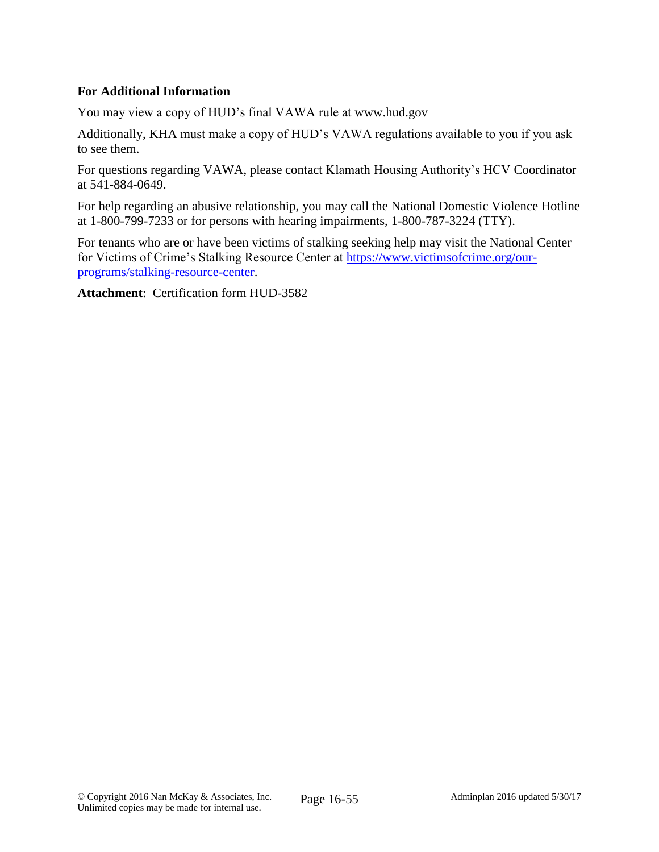## **For Additional Information**

You may view a copy of HUD's final VAWA rule at www.hud.gov

Additionally, KHA must make a copy of HUD's VAWA regulations available to you if you ask to see them.

For questions regarding VAWA, please contact Klamath Housing Authority's HCV Coordinator at 541-884-0649.

For help regarding an abusive relationship, you may call the National Domestic Violence Hotline at 1-800-799-7233 or for persons with hearing impairments, 1-800-787-3224 (TTY).

For tenants who are or have been victims of stalking seeking help may visit the National Center for Victims of Crime's Stalking Resource Center at [https://www.victimsofcrime.org/our](https://www.victimsofcrime.org/our-programs/stalking-resource-center)[programs/stalking-resource-center.](https://www.victimsofcrime.org/our-programs/stalking-resource-center)

**Attachment**: Certification form HUD-3582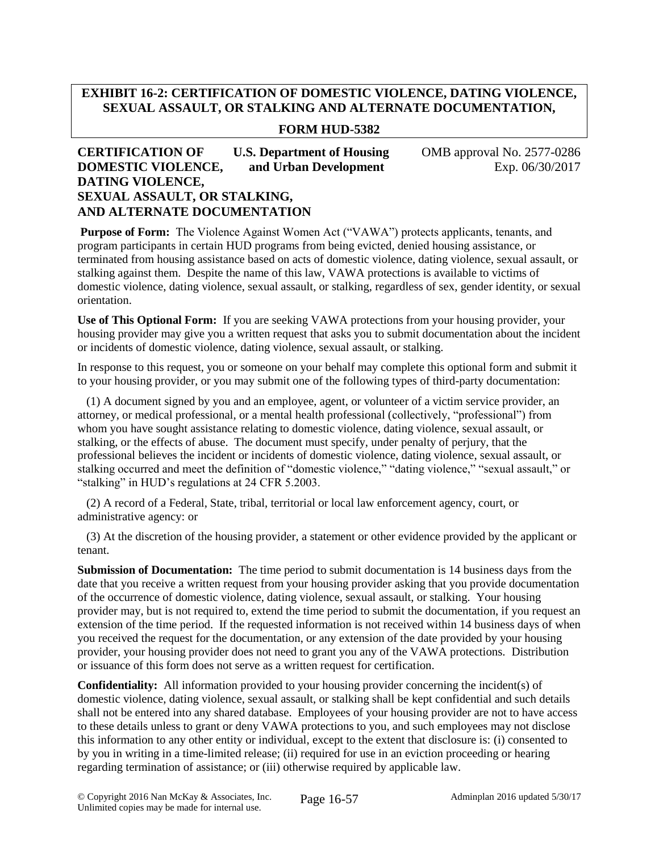## **EXHIBIT 16-2: CERTIFICATION OF DOMESTIC VIOLENCE, DATING VIOLENCE, SEXUAL ASSAULT, OR STALKING AND ALTERNATE DOCUMENTATION,**

### **FORM HUD-5382**

### **CERTIFICATION OF U.S. Department of Housing OMB approval No. 2577-0286 DOMESTIC VIOLENCE, and Urban Development** Exp. 06/30/2017 **DATING VIOLENCE, SEXUAL ASSAULT, OR STALKING, AND ALTERNATE DOCUMENTATION**

**Purpose of Form:** The Violence Against Women Act ("VAWA") protects applicants, tenants, and program participants in certain HUD programs from being evicted, denied housing assistance, or terminated from housing assistance based on acts of domestic violence, dating violence, sexual assault, or stalking against them. Despite the name of this law, VAWA protections is available to victims of domestic violence, dating violence, sexual assault, or stalking, regardless of sex, gender identity, or sexual orientation.

**Use of This Optional Form:** If you are seeking VAWA protections from your housing provider, your housing provider may give you a written request that asks you to submit documentation about the incident or incidents of domestic violence, dating violence, sexual assault, or stalking.

In response to this request, you or someone on your behalf may complete this optional form and submit it to your housing provider, or you may submit one of the following types of third-party documentation:

 (1) A document signed by you and an employee, agent, or volunteer of a victim service provider, an attorney, or medical professional, or a mental health professional (collectively, "professional") from whom you have sought assistance relating to domestic violence, dating violence, sexual assault, or stalking, or the effects of abuse. The document must specify, under penalty of perjury, that the professional believes the incident or incidents of domestic violence, dating violence, sexual assault, or stalking occurred and meet the definition of "domestic violence," "dating violence," "sexual assault," or "stalking" in HUD's regulations at 24 CFR 5.2003.

 (2) A record of a Federal, State, tribal, territorial or local law enforcement agency, court, or administrative agency: or

 (3) At the discretion of the housing provider, a statement or other evidence provided by the applicant or tenant.

**Submission of Documentation:** The time period to submit documentation is 14 business days from the date that you receive a written request from your housing provider asking that you provide documentation of the occurrence of domestic violence, dating violence, sexual assault, or stalking. Your housing provider may, but is not required to, extend the time period to submit the documentation, if you request an extension of the time period. If the requested information is not received within 14 business days of when you received the request for the documentation, or any extension of the date provided by your housing provider, your housing provider does not need to grant you any of the VAWA protections. Distribution or issuance of this form does not serve as a written request for certification.

**Confidentiality:** All information provided to your housing provider concerning the incident(s) of domestic violence, dating violence, sexual assault, or stalking shall be kept confidential and such details shall not be entered into any shared database. Employees of your housing provider are not to have access to these details unless to grant or deny VAWA protections to you, and such employees may not disclose this information to any other entity or individual, except to the extent that disclosure is: (i) consented to by you in writing in a time-limited release; (ii) required for use in an eviction proceeding or hearing regarding termination of assistance; or (iii) otherwise required by applicable law.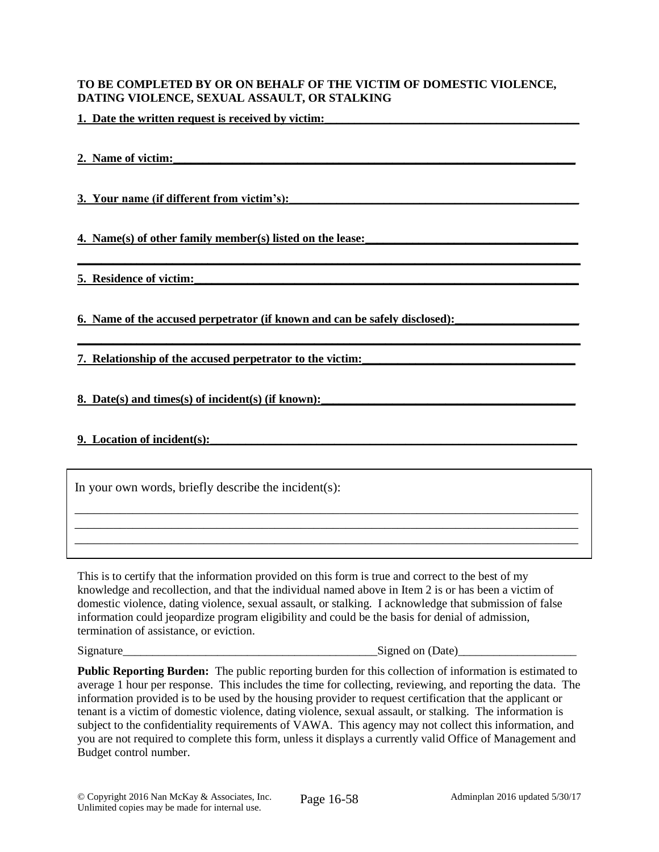#### **TO BE COMPLETED BY OR ON BEHALF OF THE VICTIM OF DOMESTIC VIOLENCE, DATING VIOLENCE, SEXUAL ASSAULT, OR STALKING**

**\_\_\_\_\_\_\_\_\_\_\_\_\_\_\_\_\_\_\_\_\_\_\_\_\_\_\_\_\_\_\_\_\_\_\_\_\_\_\_\_\_\_\_\_\_\_\_\_\_\_\_\_\_\_\_\_\_\_\_\_\_\_\_\_\_\_\_\_\_\_\_\_\_\_\_\_\_\_\_\_\_\_\_\_\_**

**\_\_\_\_\_\_\_\_\_\_\_\_\_\_\_\_\_\_\_\_\_\_\_\_\_\_\_\_\_\_\_\_\_\_\_\_\_\_\_\_\_\_\_\_\_\_\_\_\_\_\_\_\_\_\_\_\_\_\_\_\_\_\_\_\_\_\_\_\_\_\_\_\_\_\_\_\_\_\_\_\_\_\_\_\_**

**1. Date the written request is received by victim:** 

2. Name of victim:

**3. Your name (if different from victim's):\_\_\_\_\_\_\_\_\_\_\_\_\_\_\_\_\_\_\_\_\_\_\_\_\_\_\_\_\_\_\_\_\_\_\_\_\_\_\_\_\_\_\_\_\_\_\_\_\_**

**4. Name(s) of other family member(s) listed on the lease:** 

**5. Residence of victim:** 

**6. Name of the accused perpetrator (if known and can be safely disclosed):** 

**7. Relationship of the accused perpetrator to the victim:** 

**8. Date(s) and times(s) of incident(s) (if known):\_\_\_\_\_\_\_\_\_\_\_\_\_\_\_\_\_\_\_\_\_\_\_\_\_\_\_\_\_\_\_\_\_\_\_\_\_\_\_\_\_\_\_**

#### **9.** Location of incident(s):

In your own words, briefly describe the incident(s):

This is to certify that the information provided on this form is true and correct to the best of my knowledge and recollection, and that the individual named above in Item 2 is or has been a victim of domestic violence, dating violence, sexual assault, or stalking. I acknowledge that submission of false information could jeopardize program eligibility and could be the basis for denial of admission, termination of assistance, or eviction.

\_\_\_\_\_\_\_\_\_\_\_\_\_\_\_\_\_\_\_\_\_\_\_\_\_\_\_\_\_\_\_\_\_\_\_\_\_\_\_\_\_\_\_\_\_\_\_\_\_\_\_\_\_\_\_\_\_\_\_\_\_\_\_\_\_\_\_\_\_\_\_\_\_\_\_\_\_\_ \_\_\_\_\_\_\_\_\_\_\_\_\_\_\_\_\_\_\_\_\_\_\_\_\_\_\_\_\_\_\_\_\_\_\_\_\_\_\_\_\_\_\_\_\_\_\_\_\_\_\_\_\_\_\_\_\_\_\_\_\_\_\_\_\_\_\_\_\_\_\_\_\_\_\_\_\_\_ \_\_\_\_\_\_\_\_\_\_\_\_\_\_\_\_\_\_\_\_\_\_\_\_\_\_\_\_\_\_\_\_\_\_\_\_\_\_\_\_\_\_\_\_\_\_\_\_\_\_\_\_\_\_\_\_\_\_\_\_\_\_\_\_\_\_\_\_\_\_\_\_\_\_\_\_\_\_

Signature\_\_\_\_\_\_\_\_\_\_\_\_\_\_\_\_\_\_\_\_\_\_\_\_\_\_\_\_\_\_\_\_\_\_\_\_\_\_\_\_\_\_\_Signed on (Date)\_\_\_\_\_\_\_\_\_\_\_\_\_\_\_\_\_\_\_\_

**Public Reporting Burden:** The public reporting burden for this collection of information is estimated to average 1 hour per response. This includes the time for collecting, reviewing, and reporting the data. The information provided is to be used by the housing provider to request certification that the applicant or tenant is a victim of domestic violence, dating violence, sexual assault, or stalking. The information is subject to the confidentiality requirements of VAWA. This agency may not collect this information, and you are not required to complete this form, unless it displays a currently valid Office of Management and Budget control number.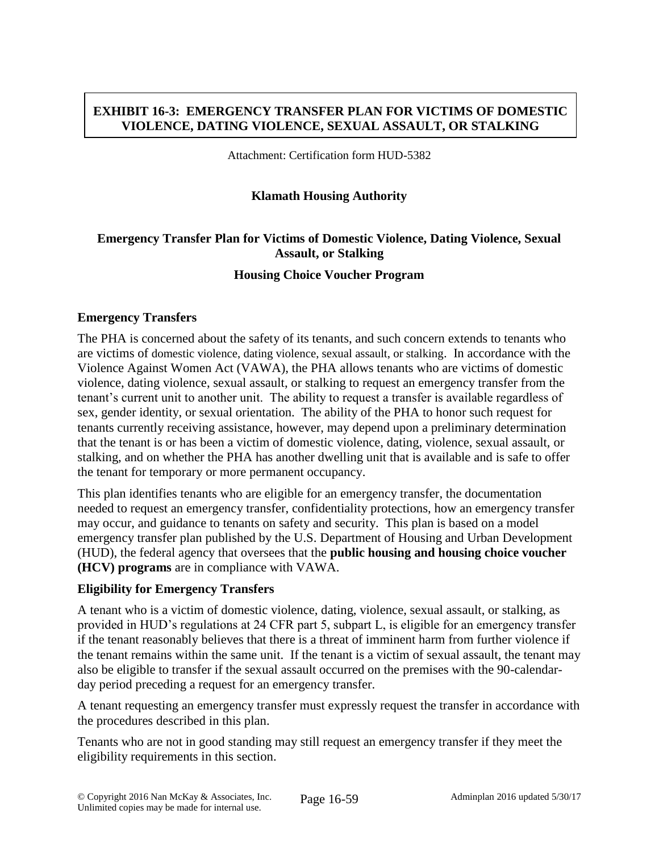## **EXHIBIT 16-3: EMERGENCY TRANSFER PLAN FOR VICTIMS OF DOMESTIC VIOLENCE, DATING VIOLENCE, SEXUAL ASSAULT, OR STALKING**

Attachment: Certification form HUD-5382

### **Klamath Housing Authority**

## **Emergency Transfer Plan for Victims of Domestic Violence, Dating Violence, Sexual Assault, or Stalking**

### **Housing Choice Voucher Program**

### **Emergency Transfers**

The PHA is concerned about the safety of its tenants, and such concern extends to tenants who are victims of domestic violence, dating violence, sexual assault, or stalking. In accordance with the Violence Against Women Act (VAWA), the PHA allows tenants who are victims of domestic violence, dating violence, sexual assault, or stalking to request an emergency transfer from the tenant's current unit to another unit. The ability to request a transfer is available regardless of sex, gender identity, or sexual orientation. The ability of the PHA to honor such request for tenants currently receiving assistance, however, may depend upon a preliminary determination that the tenant is or has been a victim of domestic violence, dating, violence, sexual assault, or stalking, and on whether the PHA has another dwelling unit that is available and is safe to offer the tenant for temporary or more permanent occupancy.

This plan identifies tenants who are eligible for an emergency transfer, the documentation needed to request an emergency transfer, confidentiality protections, how an emergency transfer may occur, and guidance to tenants on safety and security. This plan is based on a model emergency transfer plan published by the U.S. Department of Housing and Urban Development (HUD), the federal agency that oversees that the **public housing and housing choice voucher (HCV) programs** are in compliance with VAWA.

### **Eligibility for Emergency Transfers**

A tenant who is a victim of domestic violence, dating, violence, sexual assault, or stalking, as provided in HUD's regulations at 24 CFR part 5, subpart L, is eligible for an emergency transfer if the tenant reasonably believes that there is a threat of imminent harm from further violence if the tenant remains within the same unit. If the tenant is a victim of sexual assault, the tenant may also be eligible to transfer if the sexual assault occurred on the premises with the 90-calendarday period preceding a request for an emergency transfer.

A tenant requesting an emergency transfer must expressly request the transfer in accordance with the procedures described in this plan.

Tenants who are not in good standing may still request an emergency transfer if they meet the eligibility requirements in this section.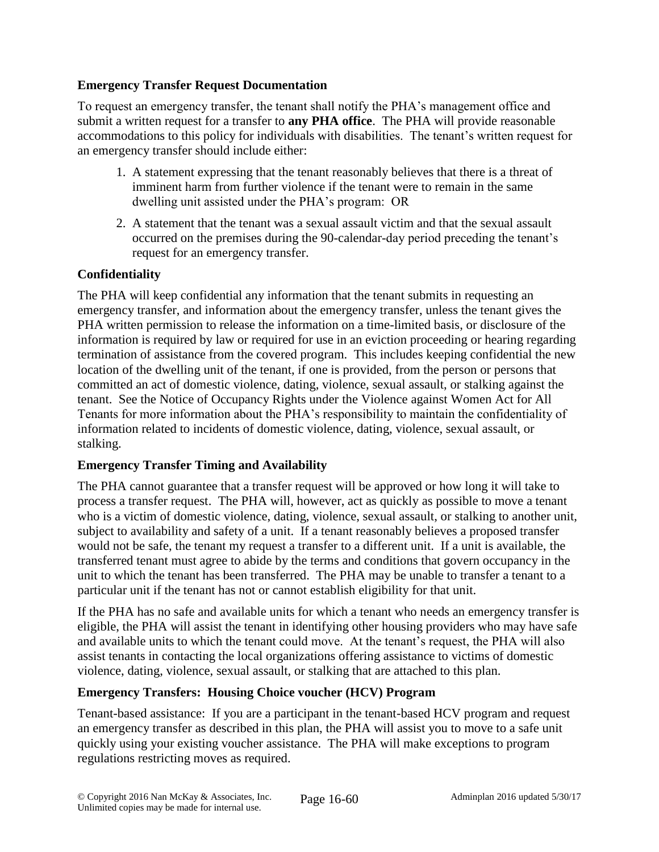## **Emergency Transfer Request Documentation**

To request an emergency transfer, the tenant shall notify the PHA's management office and submit a written request for a transfer to **any PHA office**. The PHA will provide reasonable accommodations to this policy for individuals with disabilities. The tenant's written request for an emergency transfer should include either:

- 1. A statement expressing that the tenant reasonably believes that there is a threat of imminent harm from further violence if the tenant were to remain in the same dwelling unit assisted under the PHA's program: OR
- 2. A statement that the tenant was a sexual assault victim and that the sexual assault occurred on the premises during the 90-calendar-day period preceding the tenant's request for an emergency transfer.

# **Confidentiality**

The PHA will keep confidential any information that the tenant submits in requesting an emergency transfer, and information about the emergency transfer, unless the tenant gives the PHA written permission to release the information on a time-limited basis, or disclosure of the information is required by law or required for use in an eviction proceeding or hearing regarding termination of assistance from the covered program. This includes keeping confidential the new location of the dwelling unit of the tenant, if one is provided, from the person or persons that committed an act of domestic violence, dating, violence, sexual assault, or stalking against the tenant. See the Notice of Occupancy Rights under the Violence against Women Act for All Tenants for more information about the PHA's responsibility to maintain the confidentiality of information related to incidents of domestic violence, dating, violence, sexual assault, or stalking.

## **Emergency Transfer Timing and Availability**

The PHA cannot guarantee that a transfer request will be approved or how long it will take to process a transfer request. The PHA will, however, act as quickly as possible to move a tenant who is a victim of domestic violence, dating, violence, sexual assault, or stalking to another unit, subject to availability and safety of a unit. If a tenant reasonably believes a proposed transfer would not be safe, the tenant my request a transfer to a different unit. If a unit is available, the transferred tenant must agree to abide by the terms and conditions that govern occupancy in the unit to which the tenant has been transferred. The PHA may be unable to transfer a tenant to a particular unit if the tenant has not or cannot establish eligibility for that unit.

If the PHA has no safe and available units for which a tenant who needs an emergency transfer is eligible, the PHA will assist the tenant in identifying other housing providers who may have safe and available units to which the tenant could move. At the tenant's request, the PHA will also assist tenants in contacting the local organizations offering assistance to victims of domestic violence, dating, violence, sexual assault, or stalking that are attached to this plan.

## **Emergency Transfers: Housing Choice voucher (HCV) Program**

Tenant-based assistance: If you are a participant in the tenant-based HCV program and request an emergency transfer as described in this plan, the PHA will assist you to move to a safe unit quickly using your existing voucher assistance. The PHA will make exceptions to program regulations restricting moves as required.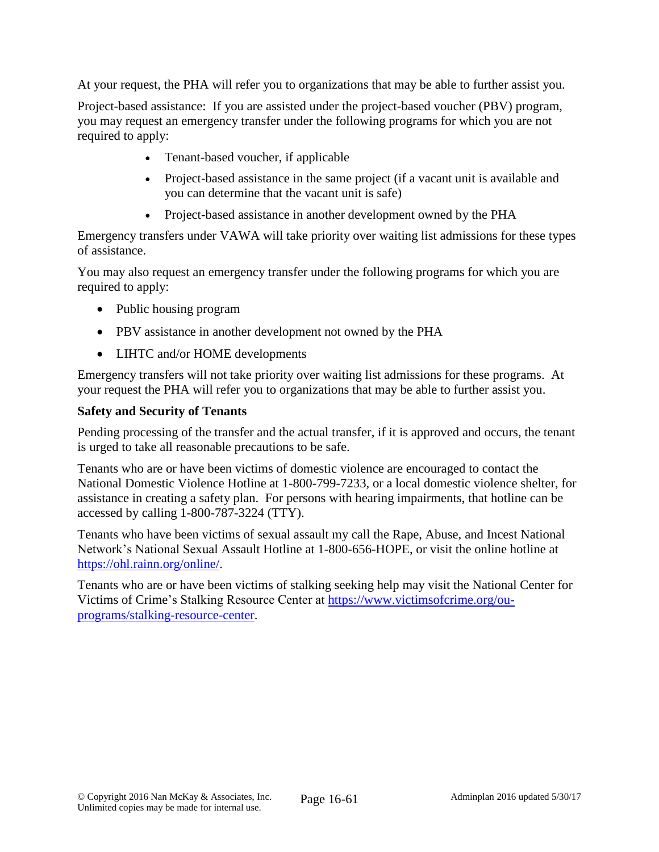At your request, the PHA will refer you to organizations that may be able to further assist you.

Project-based assistance: If you are assisted under the project-based voucher (PBV) program, you may request an emergency transfer under the following programs for which you are not required to apply:

- Tenant-based voucher, if applicable
- Project-based assistance in the same project (if a vacant unit is available and you can determine that the vacant unit is safe)
- Project-based assistance in another development owned by the PHA

Emergency transfers under VAWA will take priority over waiting list admissions for these types of assistance.

You may also request an emergency transfer under the following programs for which you are required to apply:

- Public housing program
- PBV assistance in another development not owned by the PHA
- LIHTC and/or HOME developments

Emergency transfers will not take priority over waiting list admissions for these programs. At your request the PHA will refer you to organizations that may be able to further assist you.

## **Safety and Security of Tenants**

Pending processing of the transfer and the actual transfer, if it is approved and occurs, the tenant is urged to take all reasonable precautions to be safe.

Tenants who are or have been victims of domestic violence are encouraged to contact the National Domestic Violence Hotline at 1-800-799-7233, or a local domestic violence shelter, for assistance in creating a safety plan. For persons with hearing impairments, that hotline can be accessed by calling 1-800-787-3224 (TTY).

Tenants who have been victims of sexual assault my call the Rape, Abuse, and Incest National Network's National Sexual Assault Hotline at 1-800-656-HOPE, or visit the online hotline at [https://ohl.rainn.org/online/.](https://ohl.rainn.org/online/)

Tenants who are or have been victims of stalking seeking help may visit the National Center for Victims of Crime's Stalking Resource Center at [https://www.victimsofcrime.org/ou](https://www.victimsofcrime.org/ou-programs/stalking-resource-center)[programs/stalking-resource-center.](https://www.victimsofcrime.org/ou-programs/stalking-resource-center)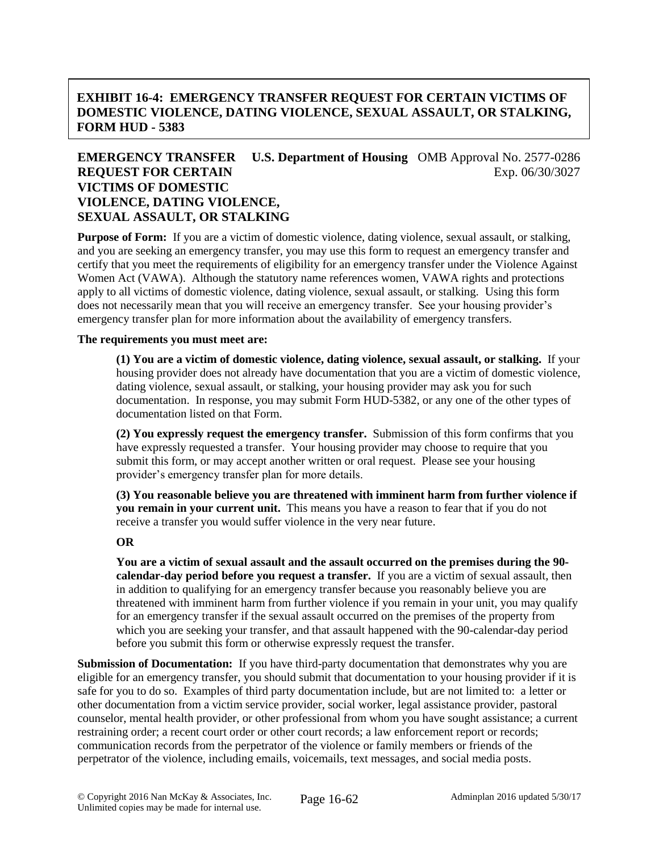## **EXHIBIT 16-4: EMERGENCY TRANSFER REQUEST FOR CERTAIN VICTIMS OF DOMESTIC VIOLENCE, DATING VIOLENCE, SEXUAL ASSAULT, OR STALKING, FORM HUD - 5383**

## **EMERGENCY TRANSFER U.S. Department of Housing** OMB Approval No. 2577-0286 **REQUEST FOR CERTAIN** Exp. 06/30/3027 **VICTIMS OF DOMESTIC VIOLENCE, DATING VIOLENCE, SEXUAL ASSAULT, OR STALKING**

**Purpose of Form:** If you are a victim of domestic violence, dating violence, sexual assault, or stalking, and you are seeking an emergency transfer, you may use this form to request an emergency transfer and certify that you meet the requirements of eligibility for an emergency transfer under the Violence Against Women Act (VAWA). Although the statutory name references women, VAWA rights and protections apply to all victims of domestic violence, dating violence, sexual assault, or stalking. Using this form does not necessarily mean that you will receive an emergency transfer. See your housing provider's emergency transfer plan for more information about the availability of emergency transfers.

#### **The requirements you must meet are:**

**(1) You are a victim of domestic violence, dating violence, sexual assault, or stalking.** If your housing provider does not already have documentation that you are a victim of domestic violence, dating violence, sexual assault, or stalking, your housing provider may ask you for such documentation. In response, you may submit Form HUD-5382, or any one of the other types of documentation listed on that Form.

**(2) You expressly request the emergency transfer.** Submission of this form confirms that you have expressly requested a transfer. Your housing provider may choose to require that you submit this form, or may accept another written or oral request. Please see your housing provider's emergency transfer plan for more details.

**(3) You reasonable believe you are threatened with imminent harm from further violence if you remain in your current unit.** This means you have a reason to fear that if you do not receive a transfer you would suffer violence in the very near future.

#### **OR**

**You are a victim of sexual assault and the assault occurred on the premises during the 90 calendar-day period before you request a transfer.** If you are a victim of sexual assault, then in addition to qualifying for an emergency transfer because you reasonably believe you are threatened with imminent harm from further violence if you remain in your unit, you may qualify for an emergency transfer if the sexual assault occurred on the premises of the property from which you are seeking your transfer, and that assault happened with the 90-calendar-day period before you submit this form or otherwise expressly request the transfer.

**Submission of Documentation:** If you have third-party documentation that demonstrates why you are eligible for an emergency transfer, you should submit that documentation to your housing provider if it is safe for you to do so. Examples of third party documentation include, but are not limited to: a letter or other documentation from a victim service provider, social worker, legal assistance provider, pastoral counselor, mental health provider, or other professional from whom you have sought assistance; a current restraining order; a recent court order or other court records; a law enforcement report or records; communication records from the perpetrator of the violence or family members or friends of the perpetrator of the violence, including emails, voicemails, text messages, and social media posts.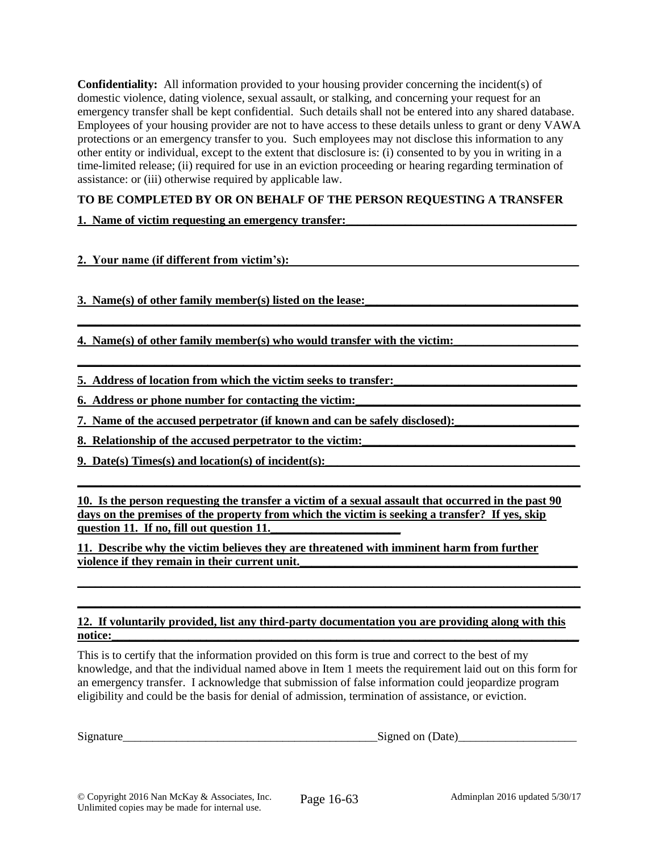**Confidentiality:** All information provided to your housing provider concerning the incident(s) of domestic violence, dating violence, sexual assault, or stalking, and concerning your request for an emergency transfer shall be kept confidential. Such details shall not be entered into any shared database. Employees of your housing provider are not to have access to these details unless to grant or deny VAWA protections or an emergency transfer to you. Such employees may not disclose this information to any other entity or individual, except to the extent that disclosure is: (i) consented to by you in writing in a time-limited release; (ii) required for use in an eviction proceeding or hearing regarding termination of assistance: or (iii) otherwise required by applicable law.

### **TO BE COMPLETED BY OR ON BEHALF OF THE PERSON REQUESTING A TRANSFER**

**\_\_\_\_\_\_\_\_\_\_\_\_\_\_\_\_\_\_\_\_\_\_\_\_\_\_\_\_\_\_\_\_\_\_\_\_\_\_\_\_\_\_\_\_\_\_\_\_\_\_\_\_\_\_\_\_\_\_\_\_\_\_\_\_\_\_\_\_\_\_\_\_\_\_\_\_\_\_\_\_\_\_\_\_\_**

**\_\_\_\_\_\_\_\_\_\_\_\_\_\_\_\_\_\_\_\_\_\_\_\_\_\_\_\_\_\_\_\_\_\_\_\_\_\_\_\_\_\_\_\_\_\_\_\_\_\_\_\_\_\_\_\_\_\_\_\_\_\_\_\_\_\_\_\_\_\_\_\_\_\_\_\_\_\_\_\_\_\_\_\_\_**

**1. Name of victim requesting an emergency transfer:** 

**2. Your name (if different from victim's):** 

**3. Name(s) of other family member(s) listed on the lease:\_\_\_\_\_\_\_\_\_\_\_\_\_\_\_\_\_\_\_\_\_\_\_\_\_\_\_\_\_\_\_\_\_\_\_\_** 

**4. Name(s) of other family member(s) who would transfer with the victim:\_\_\_\_\_\_\_\_\_\_\_\_\_\_\_\_\_\_\_\_\_**

**5. Address of location from which the victim seeks to transfer:** 

**6. Address or phone number for contacting the victim:** 

**7.** Name of the accused perpetrator (if known and can be safely disclosed):

**8. Relationship of the accused perpetrator to the victim:** 

**9.** Date(s) Times(s) and location(s) of incident(s):

**10. Is the person requesting the transfer a victim of a sexual assault that occurred in the past 90 days on the premises of the property from which the victim is seeking a transfer? If yes, skip question 11. If no, fill out question 11.** 

**\_\_\_\_\_\_\_\_\_\_\_\_\_\_\_\_\_\_\_\_\_\_\_\_\_\_\_\_\_\_\_\_\_\_\_\_\_\_\_\_\_\_\_\_\_\_\_\_\_\_\_\_\_\_\_\_\_\_\_\_\_\_\_\_\_\_\_\_\_\_\_\_\_\_\_\_\_\_\_\_\_\_\_\_\_**

**11. Describe why the victim believes they are threatened with imminent harm from further violence if they remain in their current unit.\_\_\_\_\_\_\_\_\_\_\_\_\_\_\_\_\_\_\_\_\_\_\_\_\_\_\_\_\_\_\_\_\_\_\_\_\_\_\_\_\_\_\_\_\_\_\_**

#### **12. If voluntarily provided, list any third-party documentation you are providing along with this notice:\_\_\_\_\_\_\_\_\_\_\_\_\_\_\_\_\_\_\_\_\_\_\_\_\_\_\_\_\_\_\_\_\_\_\_\_\_\_\_\_\_\_\_\_\_\_\_\_\_\_\_\_\_\_\_\_\_\_\_\_\_\_\_\_\_\_\_\_\_\_\_\_\_\_\_\_\_\_\_**

**\_\_\_\_\_\_\_\_\_\_\_\_\_\_\_\_\_\_\_\_\_\_\_\_\_\_\_\_\_\_\_\_\_\_\_\_\_\_\_\_\_\_\_\_\_\_\_\_\_\_\_\_\_\_\_\_\_\_\_\_\_\_\_\_\_\_\_\_\_\_\_\_\_\_\_\_\_\_\_\_\_\_\_\_\_ \_\_\_\_\_\_\_\_\_\_\_\_\_\_\_\_\_\_\_\_\_\_\_\_\_\_\_\_\_\_\_\_\_\_\_\_\_\_\_\_\_\_\_\_\_\_\_\_\_\_\_\_\_\_\_\_\_\_\_\_\_\_\_\_\_\_\_\_\_\_\_\_\_\_\_\_\_\_\_\_\_\_\_\_\_**

This is to certify that the information provided on this form is true and correct to the best of my knowledge, and that the individual named above in Item 1 meets the requirement laid out on this form for an emergency transfer. I acknowledge that submission of false information could jeopardize program eligibility and could be the basis for denial of admission, termination of assistance, or eviction.

Signature example of the Signature of Signed on (Date)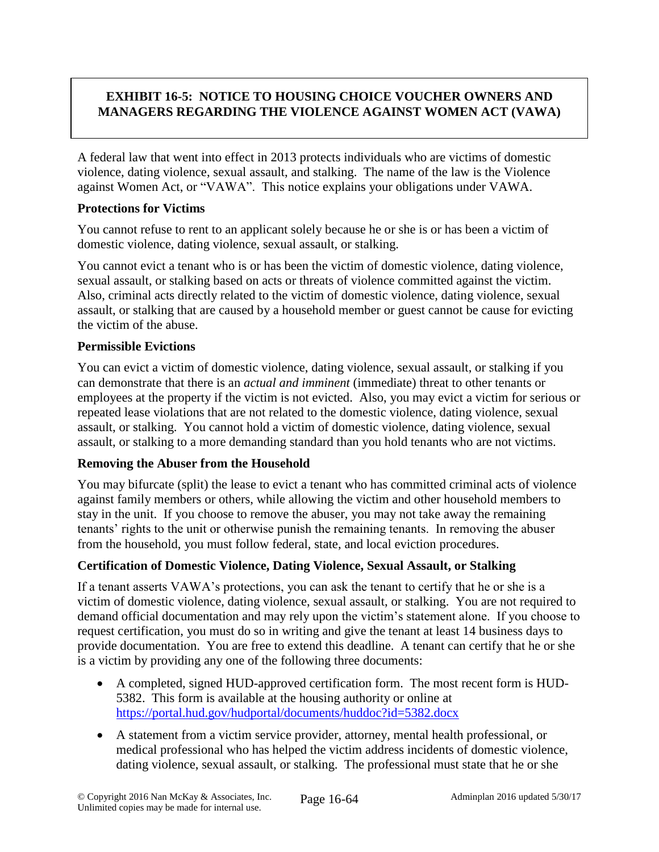# **EXHIBIT 16-5: NOTICE TO HOUSING CHOICE VOUCHER OWNERS AND MANAGERS REGARDING THE VIOLENCE AGAINST WOMEN ACT (VAWA)**

A federal law that went into effect in 2013 protects individuals who are victims of domestic violence, dating violence, sexual assault, and stalking. The name of the law is the Violence against Women Act, or "VAWA". This notice explains your obligations under VAWA.

### **Protections for Victims**

You cannot refuse to rent to an applicant solely because he or she is or has been a victim of domestic violence, dating violence, sexual assault, or stalking.

You cannot evict a tenant who is or has been the victim of domestic violence, dating violence, sexual assault, or stalking based on acts or threats of violence committed against the victim. Also, criminal acts directly related to the victim of domestic violence, dating violence, sexual assault, or stalking that are caused by a household member or guest cannot be cause for evicting the victim of the abuse.

## **Permissible Evictions**

You can evict a victim of domestic violence, dating violence, sexual assault, or stalking if you can demonstrate that there is an *actual and imminent* (immediate) threat to other tenants or employees at the property if the victim is not evicted. Also, you may evict a victim for serious or repeated lease violations that are not related to the domestic violence, dating violence, sexual assault, or stalking. You cannot hold a victim of domestic violence, dating violence, sexual assault, or stalking to a more demanding standard than you hold tenants who are not victims.

## **Removing the Abuser from the Household**

You may bifurcate (split) the lease to evict a tenant who has committed criminal acts of violence against family members or others, while allowing the victim and other household members to stay in the unit. If you choose to remove the abuser, you may not take away the remaining tenants' rights to the unit or otherwise punish the remaining tenants. In removing the abuser from the household, you must follow federal, state, and local eviction procedures.

## **Certification of Domestic Violence, Dating Violence, Sexual Assault, or Stalking**

If a tenant asserts VAWA's protections, you can ask the tenant to certify that he or she is a victim of domestic violence, dating violence, sexual assault, or stalking. You are not required to demand official documentation and may rely upon the victim's statement alone. If you choose to request certification, you must do so in writing and give the tenant at least 14 business days to provide documentation. You are free to extend this deadline. A tenant can certify that he or she is a victim by providing any one of the following three documents:

- A completed, signed HUD-approved certification form. The most recent form is HUD-5382. This form is available at the housing authority or online at <https://portal.hud.gov/hudportal/documents/huddoc?id=5382.docx>
- A statement from a victim service provider, attorney, mental health professional, or medical professional who has helped the victim address incidents of domestic violence, dating violence, sexual assault, or stalking. The professional must state that he or she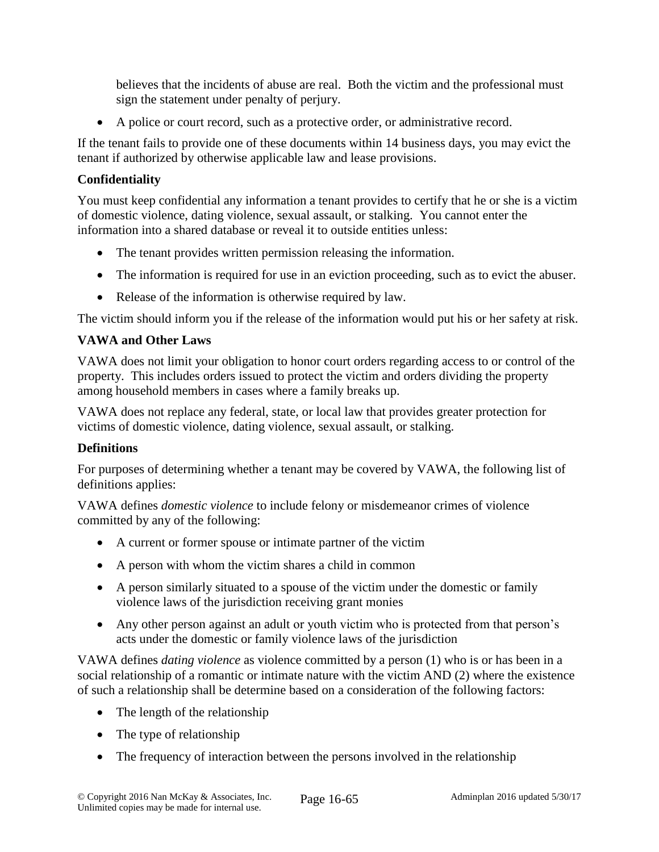believes that the incidents of abuse are real. Both the victim and the professional must sign the statement under penalty of perjury.

A police or court record, such as a protective order, or administrative record.

If the tenant fails to provide one of these documents within 14 business days, you may evict the tenant if authorized by otherwise applicable law and lease provisions.

## **Confidentiality**

You must keep confidential any information a tenant provides to certify that he or she is a victim of domestic violence, dating violence, sexual assault, or stalking. You cannot enter the information into a shared database or reveal it to outside entities unless:

- The tenant provides written permission releasing the information.
- The information is required for use in an eviction proceeding, such as to evict the abuser.
- Release of the information is otherwise required by law.

The victim should inform you if the release of the information would put his or her safety at risk.

# **VAWA and Other Laws**

VAWA does not limit your obligation to honor court orders regarding access to or control of the property. This includes orders issued to protect the victim and orders dividing the property among household members in cases where a family breaks up.

VAWA does not replace any federal, state, or local law that provides greater protection for victims of domestic violence, dating violence, sexual assault, or stalking.

## **Definitions**

For purposes of determining whether a tenant may be covered by VAWA, the following list of definitions applies:

VAWA defines *domestic violence* to include felony or misdemeanor crimes of violence committed by any of the following:

- A current or former spouse or intimate partner of the victim
- A person with whom the victim shares a child in common
- A person similarly situated to a spouse of the victim under the domestic or family violence laws of the jurisdiction receiving grant monies
- Any other person against an adult or youth victim who is protected from that person's acts under the domestic or family violence laws of the jurisdiction

VAWA defines *dating violence* as violence committed by a person (1) who is or has been in a social relationship of a romantic or intimate nature with the victim AND (2) where the existence of such a relationship shall be determine based on a consideration of the following factors:

- The length of the relationship
- The type of relationship
- The frequency of interaction between the persons involved in the relationship